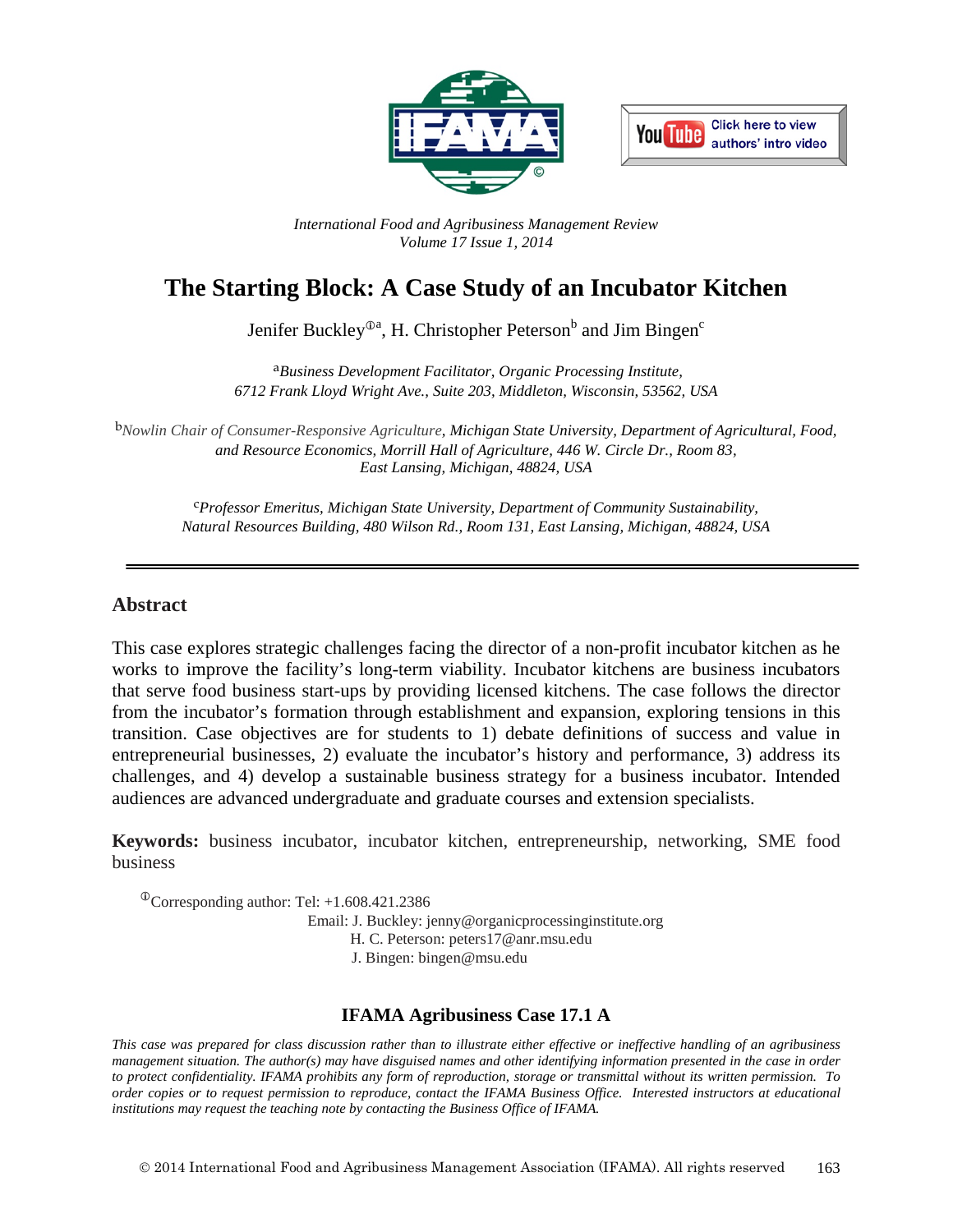



*International Food and Agribusiness Management Review Volume 17 Issue 1, 2014*

# **The Starting Block: A Case Study of an Incubator Kitchen**

Jenifer Buckley®ª, H. Christopher Peterson<sup>b</sup> and Jim Bingen<sup>c</sup>

a*Business Development Facilitator, Organic Processing Institute, 6712 Frank Lloyd Wright Ave., Suite 203, Middleton, Wisconsin, 53562, USA*

b*Nowlin Chair of Consumer-Responsive Agriculture, Michigan State University, Department of Agricultural, Food, and Resource Economics, Morrill Hall of Agriculture, 446 W. Circle Dr., Room 83, East Lansing, Michigan, 48824, USA*

c*Professor Emeritus, Michigan State University, Department of Community Sustainability, Natural Resources Building, 480 Wilson Rd., Room 131, East Lansing, Michigan, 48824, USA*

### **Abstract**

This case explores strategic challenges facing the director of a non-profit incubator kitchen as he works to improve the facility's long-term viability. Incubator kitchens are business incubators that serve food business start-ups by providing licensed kitchens. The case follows the director from the incubator's formation through establishment and expansion, exploring tensions in this transition. Case objectives are for students to 1) debate definitions of success and value in entrepreneurial businesses, 2) evaluate the incubator's history and performance, 3) address its challenges, and 4) develop a sustainable business strategy for a business incubator. Intended audiences are advanced undergraduate and graduate courses and extension specialists.

**Keywords:** business incubator, incubator kitchen, entrepreneurship, networking, SME food business

 $^{\circ}$ Corresponding author: Tel: +1.608.421.2386 Email: J. Buckley: jenny@organicprocessinginstitute.org H. C. Peterson: peters17@anr.msu.edu J. Bingen: bingen@msu.edu

### **IFAMA Agribusiness Case 17.1 A**

*This case was prepared for class discussion rather than to illustrate either effective or ineffective handling of an agribusiness management situation. The author(s) may have disguised names and other identifying information presented in the case in order to protect confidentiality. IFAMA prohibits any form of reproduction, storage or transmittal without its written permission. To order copies or to request permission to reproduce, contact the IFAMA Business Office. Interested instructors at educational institutions may request the teaching note by contacting the Business Office of IFAMA.*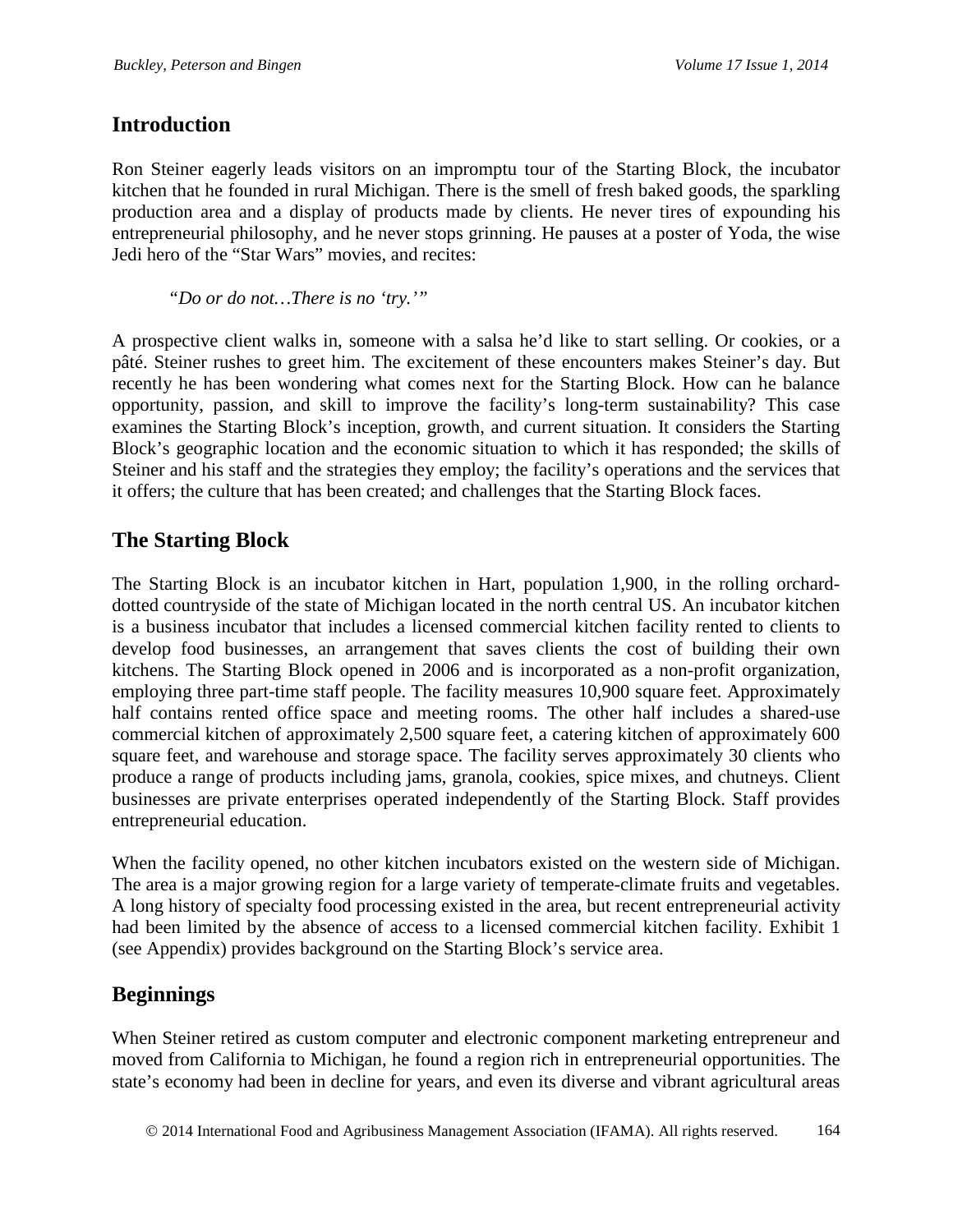# **Introduction**

Ron Steiner eagerly leads visitors on an impromptu tour of the Starting Block, the incubator kitchen that he founded in rural Michigan. There is the smell of fresh baked goods, the sparkling production area and a display of products made by clients. He never tires of expounding his entrepreneurial philosophy, and he never stops grinning. He pauses at a poster of Yoda, the wise Jedi hero of the "Star Wars" movies, and recites:

*"Do or do not…There is no 'try.'"*

A prospective client walks in, someone with a salsa he'd like to start selling. Or cookies, or a pâté. Steiner rushes to greet him. The excitement of these encounters makes Steiner's day. But recently he has been wondering what comes next for the Starting Block. How can he balance opportunity, passion, and skill to improve the facility's long-term sustainability? This case examines the Starting Block's inception, growth, and current situation. It considers the Starting Block's geographic location and the economic situation to which it has responded; the skills of Steiner and his staff and the strategies they employ; the facility's operations and the services that it offers; the culture that has been created; and challenges that the Starting Block faces.

# **The Starting Block**

The Starting Block is an incubator kitchen in Hart, population 1,900, in the rolling orcharddotted countryside of the state of Michigan located in the north central US. An incubator kitchen is a business incubator that includes a licensed commercial kitchen facility rented to clients to develop food businesses, an arrangement that saves clients the cost of building their own kitchens. The Starting Block opened in 2006 and is incorporated as a non-profit organization, employing three part-time staff people. The facility measures 10,900 square feet. Approximately half contains rented office space and meeting rooms. The other half includes a shared-use commercial kitchen of approximately 2,500 square feet, a catering kitchen of approximately 600 square feet, and warehouse and storage space. The facility serves approximately 30 clients who produce a range of products including jams, granola, cookies, spice mixes, and chutneys. Client businesses are private enterprises operated independently of the Starting Block. Staff provides entrepreneurial education.

When the facility opened, no other kitchen incubators existed on the western side of Michigan. The area is a major growing region for a large variety of temperate-climate fruits and vegetables. A long history of specialty food processing existed in the area, but recent entrepreneurial activity had been limited by the absence of access to a licensed commercial kitchen facility. Exhibit 1 (see Appendix) provides background on the Starting Block's service area.

# **Beginnings**

When Steiner retired as custom computer and electronic component marketing entrepreneur and moved from California to Michigan, he found a region rich in entrepreneurial opportunities. The state's economy had been in decline for years, and even its diverse and vibrant agricultural areas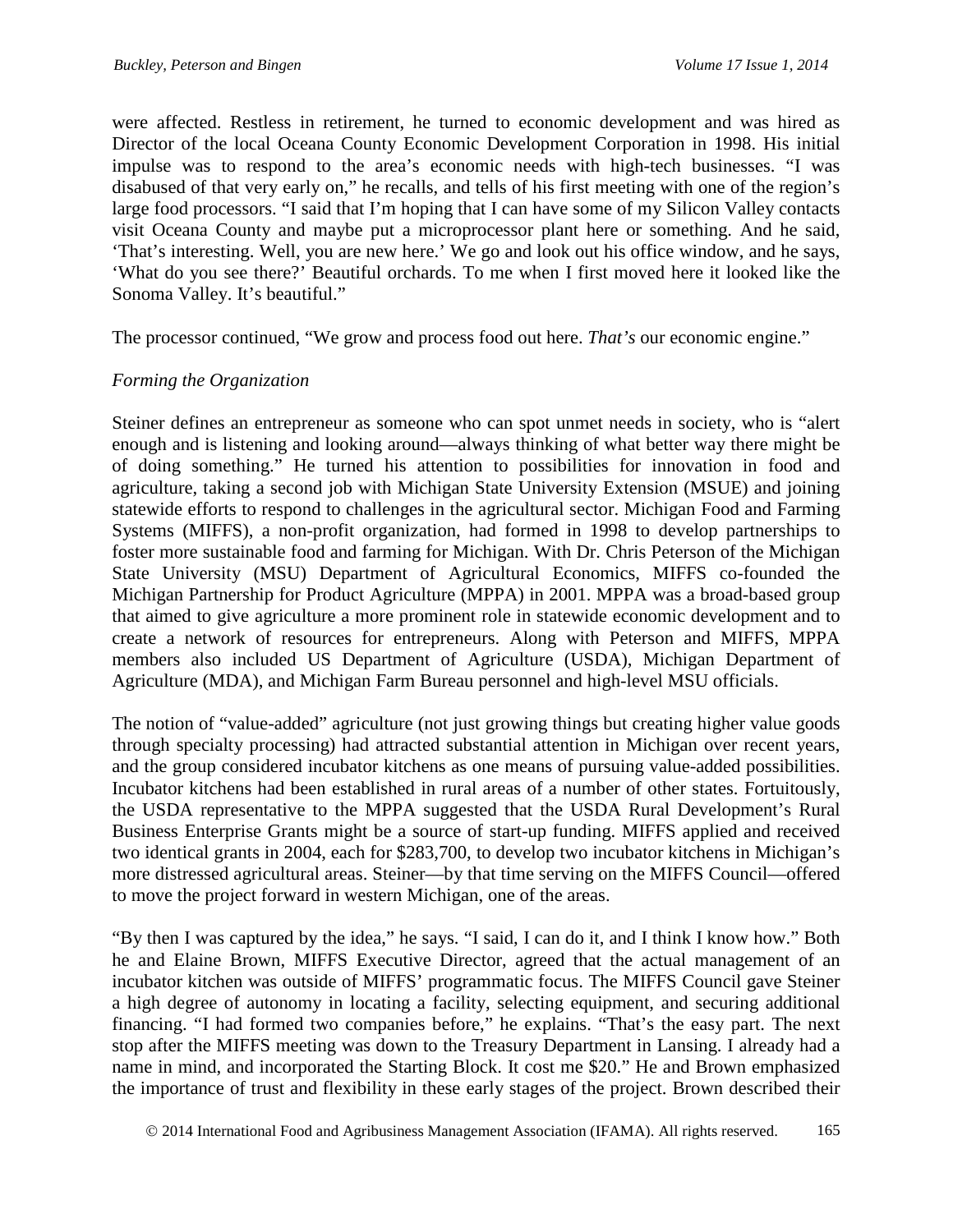were affected. Restless in retirement, he turned to economic development and was hired as Director of the local Oceana County Economic Development Corporation in 1998. His initial impulse was to respond to the area's economic needs with high-tech businesses. "I was disabused of that very early on," he recalls, and tells of his first meeting with one of the region's large food processors. "I said that I'm hoping that I can have some of my Silicon Valley contacts visit Oceana County and maybe put a microprocessor plant here or something. And he said, 'That's interesting. Well, you are new here.' We go and look out his office window, and he says, 'What do you see there?' Beautiful orchards. To me when I first moved here it looked like the Sonoma Valley. It's beautiful."

The processor continued, "We grow and process food out here. *That's* our economic engine."

### *Forming the Organization*

Steiner defines an entrepreneur as someone who can spot unmet needs in society, who is "alert enough and is listening and looking around—always thinking of what better way there might be of doing something." He turned his attention to possibilities for innovation in food and agriculture, taking a second job with Michigan State University Extension (MSUE) and joining statewide efforts to respond to challenges in the agricultural sector. Michigan Food and Farming Systems (MIFFS), a non-profit organization, had formed in 1998 to develop partnerships to foster more sustainable food and farming for Michigan. With Dr. Chris Peterson of the Michigan State University (MSU) Department of Agricultural Economics, MIFFS co-founded the Michigan Partnership for Product Agriculture (MPPA) in 2001. MPPA was a broad-based group that aimed to give agriculture a more prominent role in statewide economic development and to create a network of resources for entrepreneurs. Along with Peterson and MIFFS, MPPA members also included US Department of Agriculture (USDA), Michigan Department of Agriculture (MDA), and Michigan Farm Bureau personnel and high-level MSU officials.

The notion of "value-added" agriculture (not just growing things but creating higher value goods through specialty processing) had attracted substantial attention in Michigan over recent years, and the group considered incubator kitchens as one means of pursuing value-added possibilities. Incubator kitchens had been established in rural areas of a number of other states. Fortuitously, the USDA representative to the MPPA suggested that the USDA Rural Development's Rural Business Enterprise Grants might be a source of start-up funding. MIFFS applied and received two identical grants in 2004, each for \$283,700, to develop two incubator kitchens in Michigan's more distressed agricultural areas. Steiner—by that time serving on the MIFFS Council—offered to move the project forward in western Michigan, one of the areas.

"By then I was captured by the idea," he says. "I said, I can do it, and I think I know how." Both he and Elaine Brown, MIFFS Executive Director, agreed that the actual management of an incubator kitchen was outside of MIFFS' programmatic focus. The MIFFS Council gave Steiner a high degree of autonomy in locating a facility, selecting equipment, and securing additional financing. "I had formed two companies before," he explains. "That's the easy part. The next stop after the MIFFS meeting was down to the Treasury Department in Lansing. I already had a name in mind, and incorporated the Starting Block. It cost me \$20." He and Brown emphasized the importance of trust and flexibility in these early stages of the project. Brown described their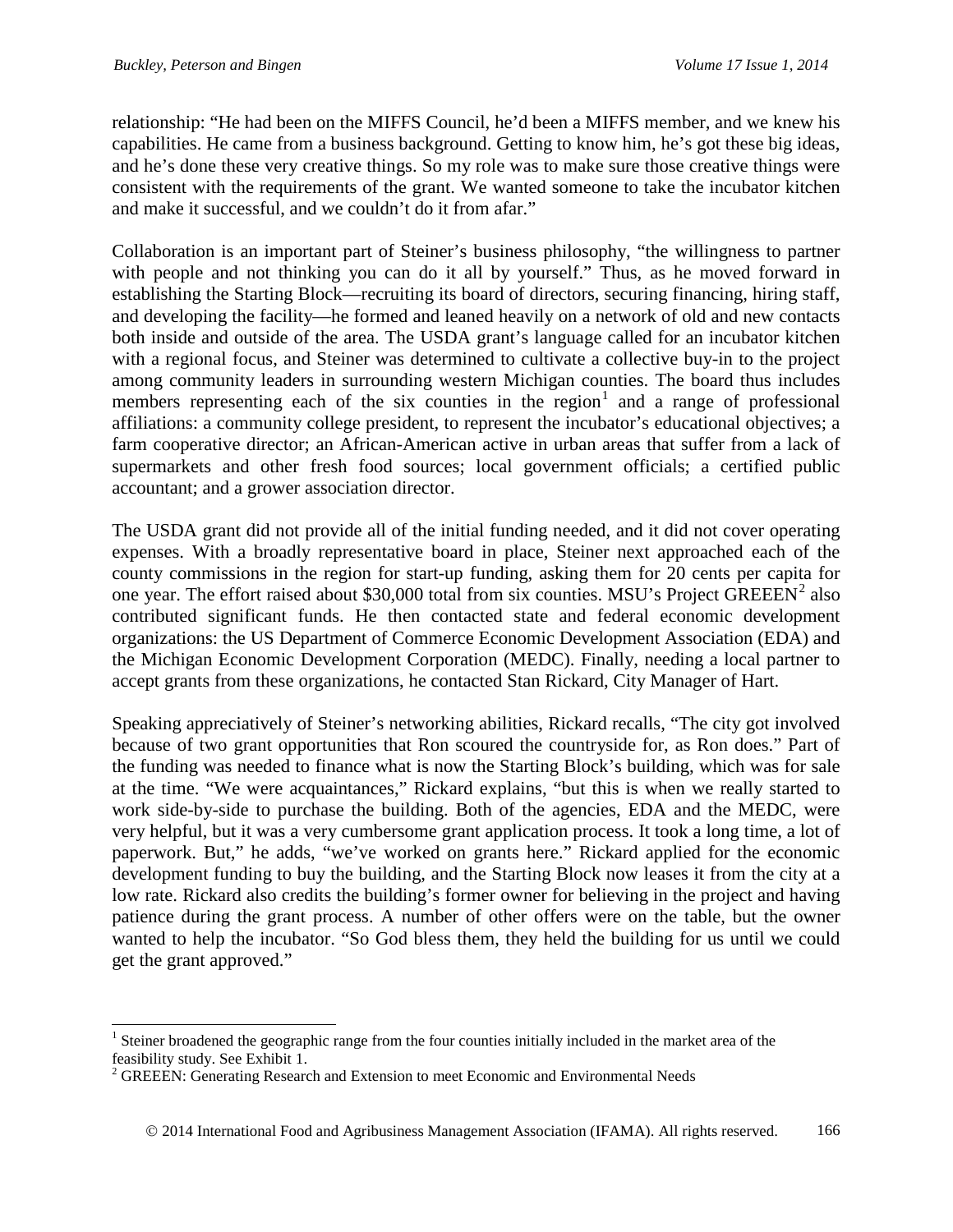relationship: "He had been on the MIFFS Council, he'd been a MIFFS member, and we knew his capabilities. He came from a business background. Getting to know him, he's got these big ideas, and he's done these very creative things. So my role was to make sure those creative things were consistent with the requirements of the grant. We wanted someone to take the incubator kitchen and make it successful, and we couldn't do it from afar."

Collaboration is an important part of Steiner's business philosophy, "the willingness to partner with people and not thinking you can do it all by yourself." Thus, as he moved forward in establishing the Starting Block—recruiting its board of directors, securing financing, hiring staff, and developing the facility—he formed and leaned heavily on a network of old and new contacts both inside and outside of the area. The USDA grant's language called for an incubator kitchen with a regional focus, and Steiner was determined to cultivate a collective buy-in to the project among community leaders in surrounding western Michigan counties. The board thus includes members representing each of the six counties in the region<sup>[1](#page-3-0)</sup> and a range of professional affiliations: a community college president, to represent the incubator's educational objectives; a farm cooperative director; an African-American active in urban areas that suffer from a lack of supermarkets and other fresh food sources; local government officials; a certified public accountant; and a grower association director.

The USDA grant did not provide all of the initial funding needed, and it did not cover operating expenses. With a broadly representative board in place, Steiner next approached each of the county commissions in the region for start-up funding, asking them for 20 cents per capita for one year. The effort raised about \$30,000 total from six counties. MSU's Project  $GREEEN<sup>2</sup>$  $GREEEN<sup>2</sup>$  $GREEEN<sup>2</sup>$  also contributed significant funds. He then contacted state and federal economic development organizations: the US Department of Commerce Economic Development Association (EDA) and the Michigan Economic Development Corporation (MEDC). Finally, needing a local partner to accept grants from these organizations, he contacted Stan Rickard, City Manager of Hart.

Speaking appreciatively of Steiner's networking abilities, Rickard recalls, "The city got involved because of two grant opportunities that Ron scoured the countryside for, as Ron does." Part of the funding was needed to finance what is now the Starting Block's building, which was for sale at the time. "We were acquaintances," Rickard explains, "but this is when we really started to work side-by-side to purchase the building. Both of the agencies, EDA and the MEDC, were very helpful, but it was a very cumbersome grant application process. It took a long time, a lot of paperwork. But," he adds, "we've worked on grants here." Rickard applied for the economic development funding to buy the building, and the Starting Block now leases it from the city at a low rate. Rickard also credits the building's former owner for believing in the project and having patience during the grant process. A number of other offers were on the table, but the owner wanted to help the incubator. "So God bless them, they held the building for us until we could get the grant approved."

<span id="page-3-0"></span><sup>&</sup>lt;sup>1</sup> Steiner broadened the geographic range from the four counties initially included in the market area of the feasibility study. See Exhibit 1.

<span id="page-3-1"></span><sup>&</sup>lt;sup>2</sup> GREEEN: Generating Research and Extension to meet Economic and Environmental Needs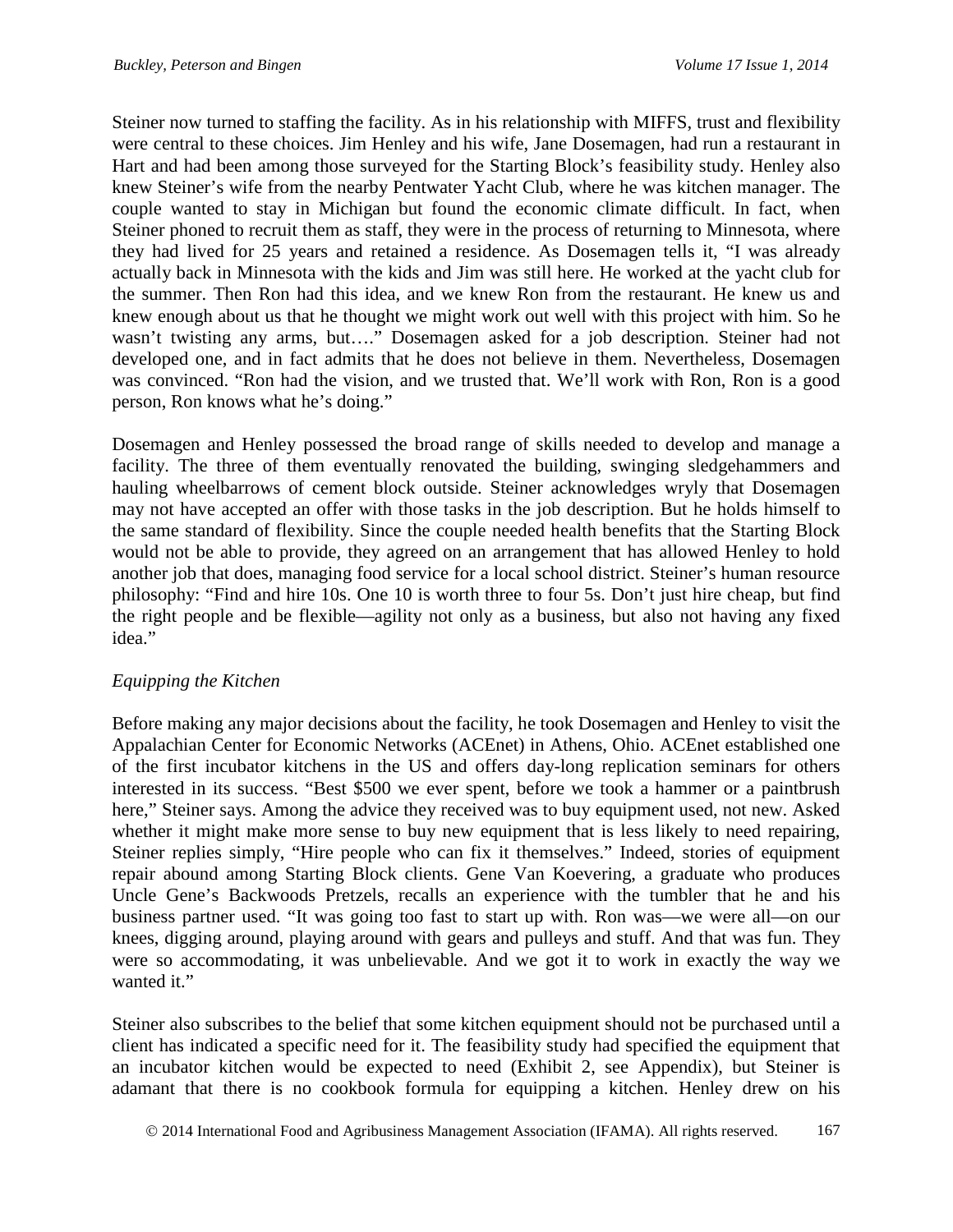Steiner now turned to staffing the facility. As in his relationship with MIFFS, trust and flexibility were central to these choices. Jim Henley and his wife, Jane Dosemagen, had run a restaurant in Hart and had been among those surveyed for the Starting Block's feasibility study. Henley also knew Steiner's wife from the nearby Pentwater Yacht Club, where he was kitchen manager. The couple wanted to stay in Michigan but found the economic climate difficult. In fact, when Steiner phoned to recruit them as staff, they were in the process of returning to Minnesota, where they had lived for 25 years and retained a residence. As Dosemagen tells it, "I was already actually back in Minnesota with the kids and Jim was still here. He worked at the yacht club for the summer. Then Ron had this idea, and we knew Ron from the restaurant. He knew us and knew enough about us that he thought we might work out well with this project with him. So he wasn't twisting any arms, but...." Dosemagen asked for a job description. Steiner had not developed one, and in fact admits that he does not believe in them. Nevertheless, Dosemagen was convinced. "Ron had the vision, and we trusted that. We'll work with Ron, Ron is a good person, Ron knows what he's doing."

Dosemagen and Henley possessed the broad range of skills needed to develop and manage a facility. The three of them eventually renovated the building, swinging sledgehammers and hauling wheelbarrows of cement block outside. Steiner acknowledges wryly that Dosemagen may not have accepted an offer with those tasks in the job description. But he holds himself to the same standard of flexibility. Since the couple needed health benefits that the Starting Block would not be able to provide, they agreed on an arrangement that has allowed Henley to hold another job that does, managing food service for a local school district. Steiner's human resource philosophy: "Find and hire 10s. One 10 is worth three to four 5s. Don't just hire cheap, but find the right people and be flexible—agility not only as a business, but also not having any fixed idea."

### *Equipping the Kitchen*

Before making any major decisions about the facility, he took Dosemagen and Henley to visit the Appalachian Center for Economic Networks (ACEnet) in Athens, Ohio. ACEnet established one of the first incubator kitchens in the US and offers day-long replication seminars for others interested in its success. "Best \$500 we ever spent, before we took a hammer or a paintbrush here," Steiner says. Among the advice they received was to buy equipment used, not new. Asked whether it might make more sense to buy new equipment that is less likely to need repairing, Steiner replies simply, "Hire people who can fix it themselves." Indeed, stories of equipment repair abound among Starting Block clients. Gene Van Koevering, a graduate who produces Uncle Gene's Backwoods Pretzels, recalls an experience with the tumbler that he and his business partner used. "It was going too fast to start up with. Ron was—we were all—on our knees, digging around, playing around with gears and pulleys and stuff. And that was fun. They were so accommodating, it was unbelievable. And we got it to work in exactly the way we wanted it."

Steiner also subscribes to the belief that some kitchen equipment should not be purchased until a client has indicated a specific need for it. The feasibility study had specified the equipment that an incubator kitchen would be expected to need (Exhibit 2, see Appendix), but Steiner is adamant that there is no cookbook formula for equipping a kitchen. Henley drew on his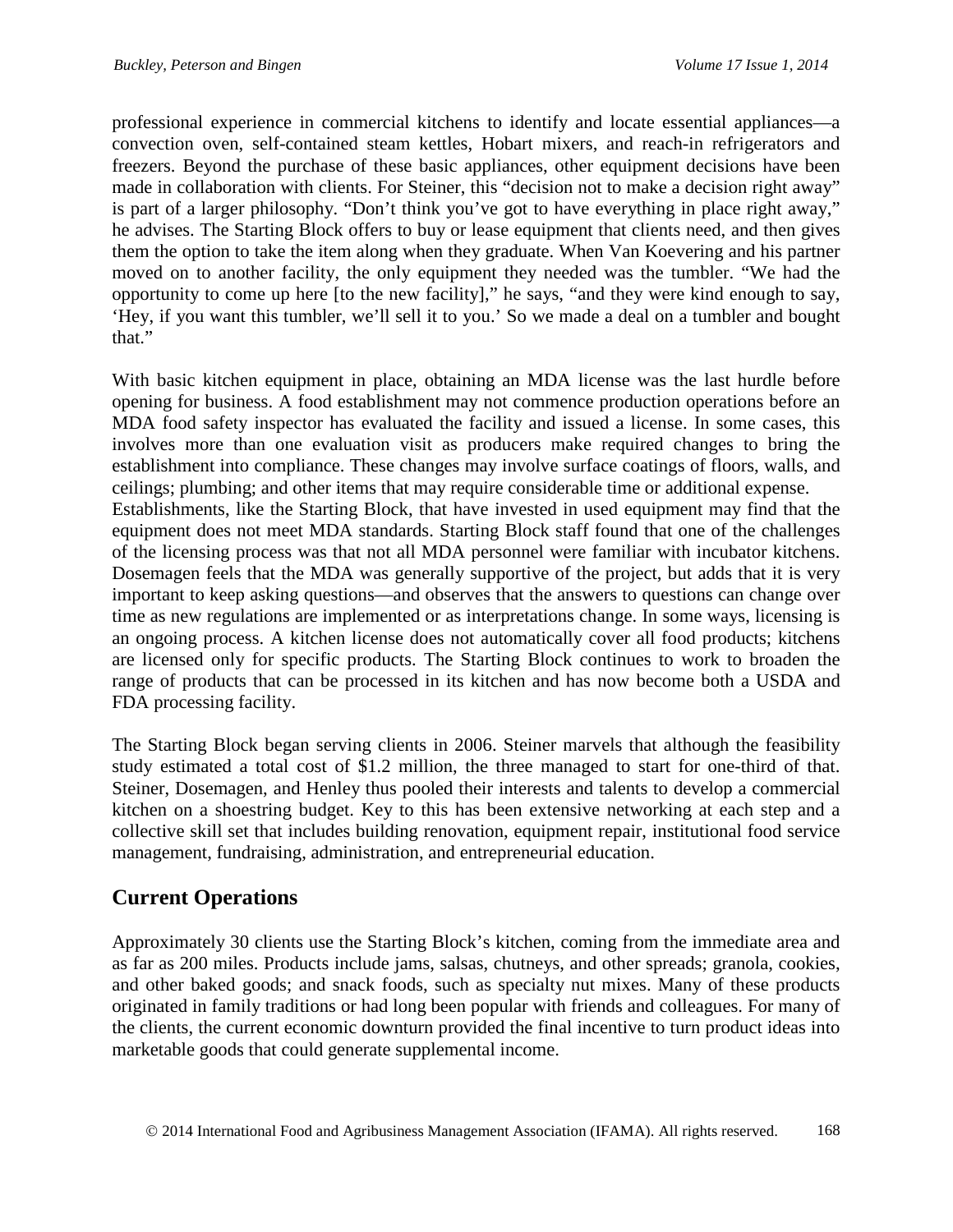professional experience in commercial kitchens to identify and locate essential appliances—a convection oven, self-contained steam kettles, Hobart mixers, and reach-in refrigerators and freezers. Beyond the purchase of these basic appliances, other equipment decisions have been made in collaboration with clients. For Steiner, this "decision not to make a decision right away" is part of a larger philosophy. "Don't think you've got to have everything in place right away," he advises. The Starting Block offers to buy or lease equipment that clients need, and then gives them the option to take the item along when they graduate. When Van Koevering and his partner moved on to another facility, the only equipment they needed was the tumbler. "We had the opportunity to come up here [to the new facility]," he says, "and they were kind enough to say, 'Hey, if you want this tumbler, we'll sell it to you.' So we made a deal on a tumbler and bought that."

With basic kitchen equipment in place, obtaining an MDA license was the last hurdle before opening for business. A food establishment may not commence production operations before an MDA food safety inspector has evaluated the facility and issued a license. In some cases, this involves more than one evaluation visit as producers make required changes to bring the establishment into compliance. These changes may involve surface coatings of floors, walls, and ceilings; plumbing; and other items that may require considerable time or additional expense. Establishments, like the Starting Block, that have invested in used equipment may find that the equipment does not meet MDA standards. Starting Block staff found that one of the challenges of the licensing process was that not all MDA personnel were familiar with incubator kitchens. Dosemagen feels that the MDA was generally supportive of the project, but adds that it is very important to keep asking questions—and observes that the answers to questions can change over time as new regulations are implemented or as interpretations change. In some ways, licensing is an ongoing process. A kitchen license does not automatically cover all food products; kitchens are licensed only for specific products. The Starting Block continues to work to broaden the range of products that can be processed in its kitchen and has now become both a USDA and FDA processing facility.

The Starting Block began serving clients in 2006. Steiner marvels that although the feasibility study estimated a total cost of \$1.2 million, the three managed to start for one-third of that. Steiner, Dosemagen, and Henley thus pooled their interests and talents to develop a commercial kitchen on a shoestring budget. Key to this has been extensive networking at each step and a collective skill set that includes building renovation, equipment repair, institutional food service management, fundraising, administration, and entrepreneurial education.

# **Current Operations**

Approximately 30 clients use the Starting Block's kitchen, coming from the immediate area and as far as 200 miles. Products include jams, salsas, chutneys, and other spreads; granola, cookies, and other baked goods; and snack foods, such as specialty nut mixes. Many of these products originated in family traditions or had long been popular with friends and colleagues. For many of the clients, the current economic downturn provided the final incentive to turn product ideas into marketable goods that could generate supplemental income.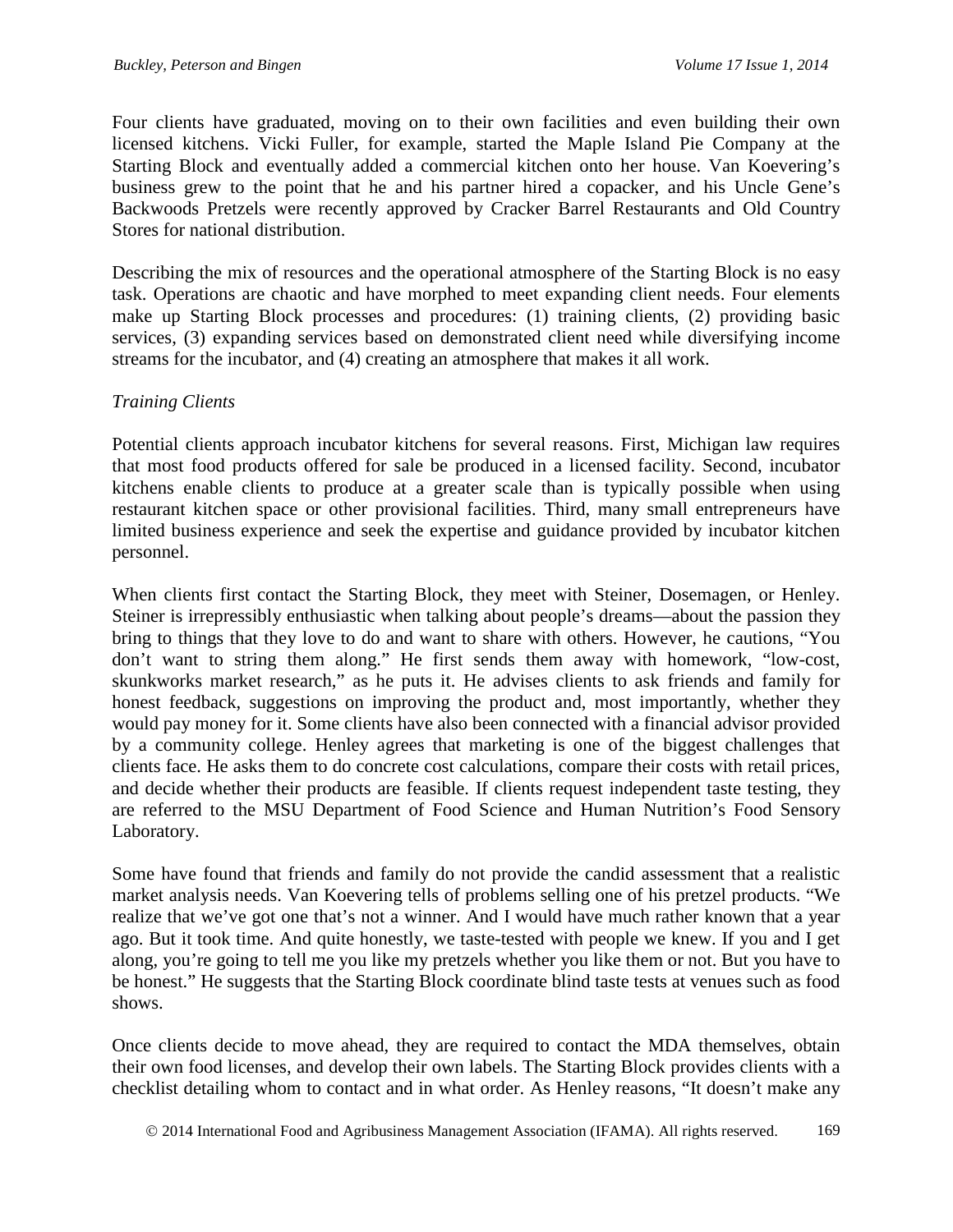Four clients have graduated, moving on to their own facilities and even building their own licensed kitchens. Vicki Fuller, for example, started the Maple Island Pie Company at the Starting Block and eventually added a commercial kitchen onto her house. Van Koevering's business grew to the point that he and his partner hired a copacker, and his Uncle Gene's Backwoods Pretzels were recently approved by Cracker Barrel Restaurants and Old Country Stores for national distribution.

Describing the mix of resources and the operational atmosphere of the Starting Block is no easy task. Operations are chaotic and have morphed to meet expanding client needs. Four elements make up Starting Block processes and procedures: (1) training clients, (2) providing basic services, (3) expanding services based on demonstrated client need while diversifying income streams for the incubator, and (4) creating an atmosphere that makes it all work.

#### *Training Clients*

Potential clients approach incubator kitchens for several reasons. First, Michigan law requires that most food products offered for sale be produced in a licensed facility. Second, incubator kitchens enable clients to produce at a greater scale than is typically possible when using restaurant kitchen space or other provisional facilities. Third, many small entrepreneurs have limited business experience and seek the expertise and guidance provided by incubator kitchen personnel.

When clients first contact the Starting Block, they meet with Steiner, Dosemagen, or Henley. Steiner is irrepressibly enthusiastic when talking about people's dreams—about the passion they bring to things that they love to do and want to share with others. However, he cautions, "You don't want to string them along." He first sends them away with homework, "low-cost, skunkworks market research," as he puts it. He advises clients to ask friends and family for honest feedback, suggestions on improving the product and, most importantly, whether they would pay money for it. Some clients have also been connected with a financial advisor provided by a community college. Henley agrees that marketing is one of the biggest challenges that clients face. He asks them to do concrete cost calculations, compare their costs with retail prices, and decide whether their products are feasible. If clients request independent taste testing, they are referred to the MSU Department of Food Science and Human Nutrition's Food Sensory Laboratory.

Some have found that friends and family do not provide the candid assessment that a realistic market analysis needs. Van Koevering tells of problems selling one of his pretzel products. "We realize that we've got one that's not a winner. And I would have much rather known that a year ago. But it took time. And quite honestly, we taste-tested with people we knew. If you and I get along, you're going to tell me you like my pretzels whether you like them or not. But you have to be honest." He suggests that the Starting Block coordinate blind taste tests at venues such as food shows.

Once clients decide to move ahead, they are required to contact the MDA themselves, obtain their own food licenses, and develop their own labels. The Starting Block provides clients with a checklist detailing whom to contact and in what order. As Henley reasons, "It doesn't make any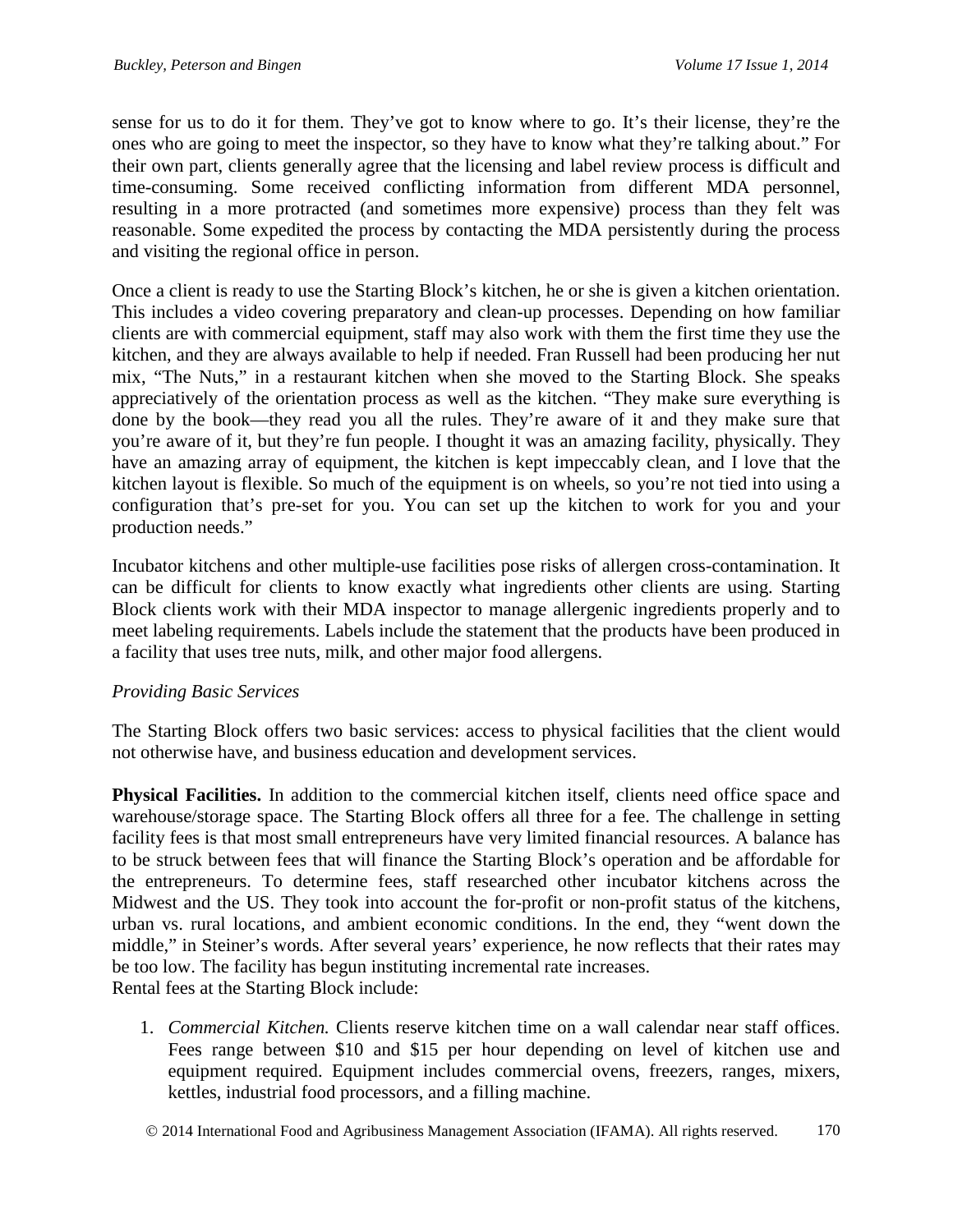sense for us to do it for them. They've got to know where to go. It's their license, they're the ones who are going to meet the inspector, so they have to know what they're talking about." For their own part, clients generally agree that the licensing and label review process is difficult and time-consuming. Some received conflicting information from different MDA personnel, resulting in a more protracted (and sometimes more expensive) process than they felt was reasonable. Some expedited the process by contacting the MDA persistently during the process and visiting the regional office in person.

Once a client is ready to use the Starting Block's kitchen, he or she is given a kitchen orientation. This includes a video covering preparatory and clean-up processes. Depending on how familiar clients are with commercial equipment, staff may also work with them the first time they use the kitchen, and they are always available to help if needed. Fran Russell had been producing her nut mix, "The Nuts," in a restaurant kitchen when she moved to the Starting Block. She speaks appreciatively of the orientation process as well as the kitchen. "They make sure everything is done by the book—they read you all the rules. They're aware of it and they make sure that you're aware of it, but they're fun people. I thought it was an amazing facility, physically. They have an amazing array of equipment, the kitchen is kept impeccably clean, and I love that the kitchen layout is flexible. So much of the equipment is on wheels, so you're not tied into using a configuration that's pre-set for you. You can set up the kitchen to work for you and your production needs."

Incubator kitchens and other multiple-use facilities pose risks of allergen cross-contamination. It can be difficult for clients to know exactly what ingredients other clients are using. Starting Block clients work with their MDA inspector to manage allergenic ingredients properly and to meet labeling requirements. Labels include the statement that the products have been produced in a facility that uses tree nuts, milk, and other major food allergens.

## *Providing Basic Services*

The Starting Block offers two basic services: access to physical facilities that the client would not otherwise have, and business education and development services.

**Physical Facilities.** In addition to the commercial kitchen itself, clients need office space and warehouse/storage space. The Starting Block offers all three for a fee. The challenge in setting facility fees is that most small entrepreneurs have very limited financial resources. A balance has to be struck between fees that will finance the Starting Block's operation and be affordable for the entrepreneurs. To determine fees, staff researched other incubator kitchens across the Midwest and the US. They took into account the for-profit or non-profit status of the kitchens, urban vs. rural locations, and ambient economic conditions. In the end, they "went down the middle," in Steiner's words. After several years' experience, he now reflects that their rates may be too low. The facility has begun instituting incremental rate increases. Rental fees at the Starting Block include:

1. *Commercial Kitchen.* Clients reserve kitchen time on a wall calendar near staff offices. Fees range between \$10 and \$15 per hour depending on level of kitchen use and equipment required. Equipment includes commercial ovens, freezers, ranges, mixers, kettles, industrial food processors, and a filling machine.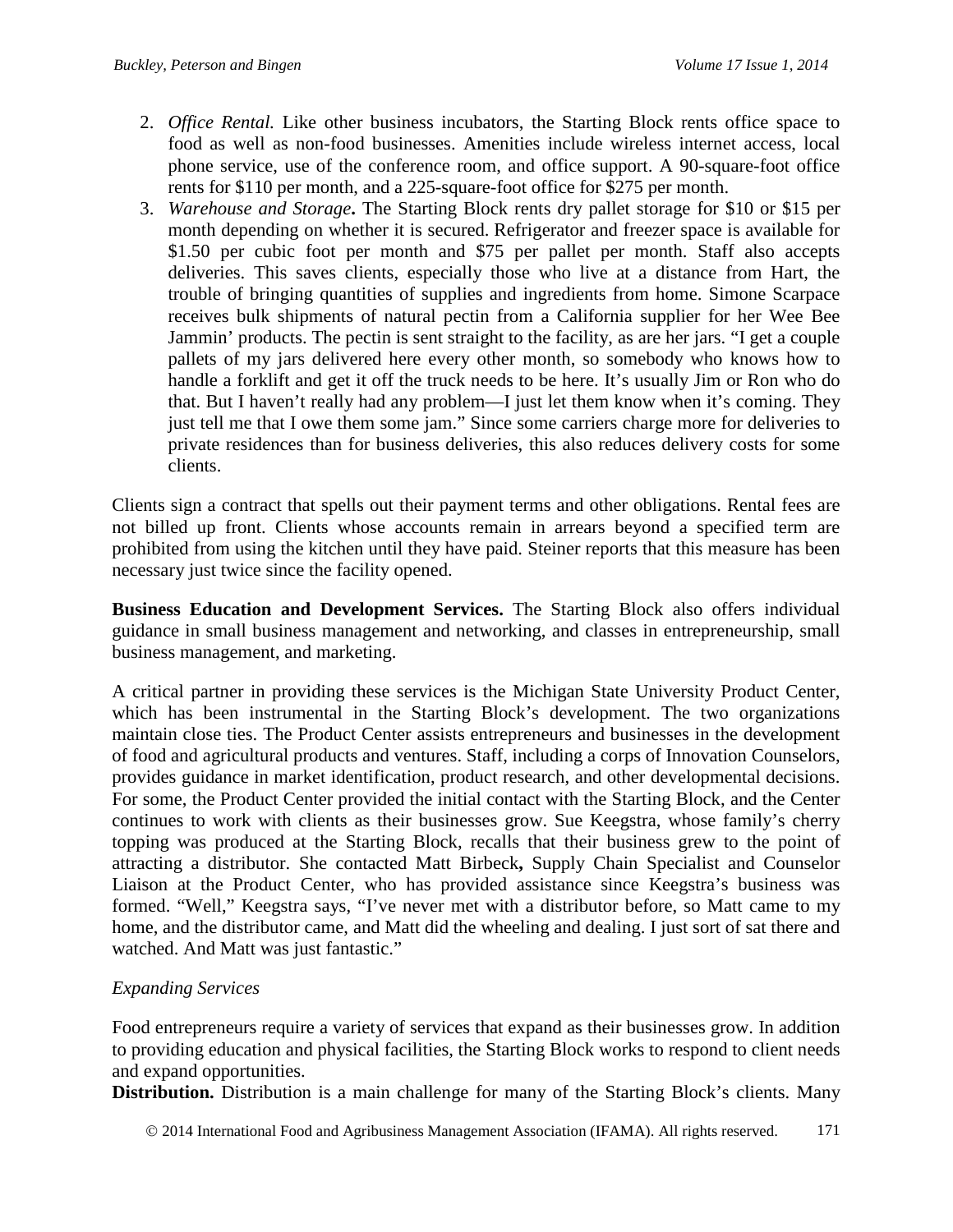- 2. *Office Rental.* Like other business incubators, the Starting Block rents office space to food as well as non-food businesses. Amenities include wireless internet access, local phone service, use of the conference room, and office support. A 90-square-foot office rents for \$110 per month, and a 225-square-foot office for \$275 per month.
- 3. *Warehouse and Storage***.** The Starting Block rents dry pallet storage for \$10 or \$15 per month depending on whether it is secured. Refrigerator and freezer space is available for \$1.50 per cubic foot per month and \$75 per pallet per month. Staff also accepts deliveries. This saves clients, especially those who live at a distance from Hart, the trouble of bringing quantities of supplies and ingredients from home. Simone Scarpace receives bulk shipments of natural pectin from a California supplier for her Wee Bee Jammin' products. The pectin is sent straight to the facility, as are her jars. "I get a couple pallets of my jars delivered here every other month, so somebody who knows how to handle a forklift and get it off the truck needs to be here. It's usually Jim or Ron who do that. But I haven't really had any problem—I just let them know when it's coming. They just tell me that I owe them some jam." Since some carriers charge more for deliveries to private residences than for business deliveries, this also reduces delivery costs for some clients.

Clients sign a contract that spells out their payment terms and other obligations. Rental fees are not billed up front. Clients whose accounts remain in arrears beyond a specified term are prohibited from using the kitchen until they have paid. Steiner reports that this measure has been necessary just twice since the facility opened.

**Business Education and Development Services.** The Starting Block also offers individual guidance in small business management and networking, and classes in entrepreneurship, small business management, and marketing.

A critical partner in providing these services is the Michigan State University Product Center, which has been instrumental in the Starting Block's development. The two organizations maintain close ties. The Product Center assists entrepreneurs and businesses in the development of food and agricultural products and ventures. Staff, including a corps of Innovation Counselors, provides guidance in market identification, product research, and other developmental decisions. For some, the Product Center provided the initial contact with the Starting Block, and the Center continues to work with clients as their businesses grow. Sue Keegstra, whose family's cherry topping was produced at the Starting Block, recalls that their business grew to the point of attracting a distributor. She contacted Matt Birbeck**,** Supply Chain Specialist and Counselor Liaison at the Product Center, who has provided assistance since Keegstra's business was formed. "Well," Keegstra says, "I've never met with a distributor before, so Matt came to my home, and the distributor came, and Matt did the wheeling and dealing. I just sort of sat there and watched. And Matt was just fantastic."

## *Expanding Services*

Food entrepreneurs require a variety of services that expand as their businesses grow. In addition to providing education and physical facilities, the Starting Block works to respond to client needs and expand opportunities.

**Distribution.** Distribution is a main challenge for many of the Starting Block's clients. Many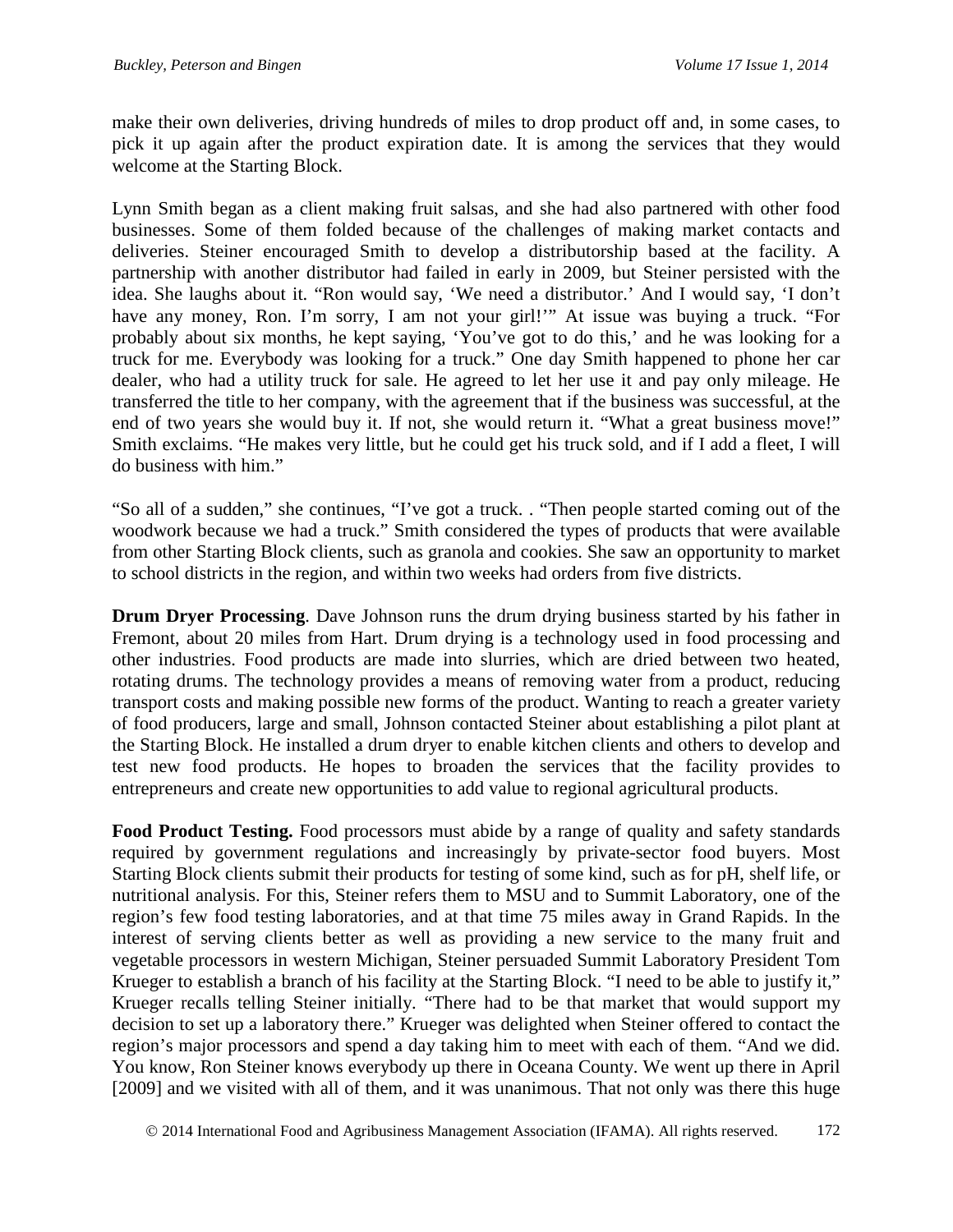make their own deliveries, driving hundreds of miles to drop product off and, in some cases, to pick it up again after the product expiration date. It is among the services that they would welcome at the Starting Block.

Lynn Smith began as a client making fruit salsas, and she had also partnered with other food businesses. Some of them folded because of the challenges of making market contacts and deliveries. Steiner encouraged Smith to develop a distributorship based at the facility. A partnership with another distributor had failed in early in 2009, but Steiner persisted with the idea. She laughs about it. "Ron would say, 'We need a distributor.' And I would say, 'I don't have any money, Ron. I'm sorry, I am not your girl!" At issue was buying a truck. "For probably about six months, he kept saying, 'You've got to do this,' and he was looking for a truck for me. Everybody was looking for a truck." One day Smith happened to phone her car dealer, who had a utility truck for sale. He agreed to let her use it and pay only mileage. He transferred the title to her company, with the agreement that if the business was successful, at the end of two years she would buy it. If not, she would return it. "What a great business move!" Smith exclaims. "He makes very little, but he could get his truck sold, and if I add a fleet, I will do business with him."

"So all of a sudden," she continues, "I've got a truck. . "Then people started coming out of the woodwork because we had a truck." Smith considered the types of products that were available from other Starting Block clients, such as granola and cookies. She saw an opportunity to market to school districts in the region, and within two weeks had orders from five districts.

**Drum Dryer Processing**. Dave Johnson runs the drum drying business started by his father in Fremont, about 20 miles from Hart. Drum drying is a technology used in food processing and other industries. Food products are made into slurries, which are dried between two heated, rotating drums. The technology provides a means of removing water from a product, reducing transport costs and making possible new forms of the product. Wanting to reach a greater variety of food producers, large and small, Johnson contacted Steiner about establishing a pilot plant at the Starting Block. He installed a drum dryer to enable kitchen clients and others to develop and test new food products. He hopes to broaden the services that the facility provides to entrepreneurs and create new opportunities to add value to regional agricultural products.

Food Product Testing. Food processors must abide by a range of quality and safety standards required by government regulations and increasingly by private-sector food buyers. Most Starting Block clients submit their products for testing of some kind, such as for pH, shelf life, or nutritional analysis. For this, Steiner refers them to MSU and to Summit Laboratory, one of the region's few food testing laboratories, and at that time 75 miles away in Grand Rapids. In the interest of serving clients better as well as providing a new service to the many fruit and vegetable processors in western Michigan, Steiner persuaded Summit Laboratory President Tom Krueger to establish a branch of his facility at the Starting Block. "I need to be able to justify it," Krueger recalls telling Steiner initially. "There had to be that market that would support my decision to set up a laboratory there." Krueger was delighted when Steiner offered to contact the region's major processors and spend a day taking him to meet with each of them. "And we did. You know, Ron Steiner knows everybody up there in Oceana County. We went up there in April [2009] and we visited with all of them, and it was unanimous. That not only was there this huge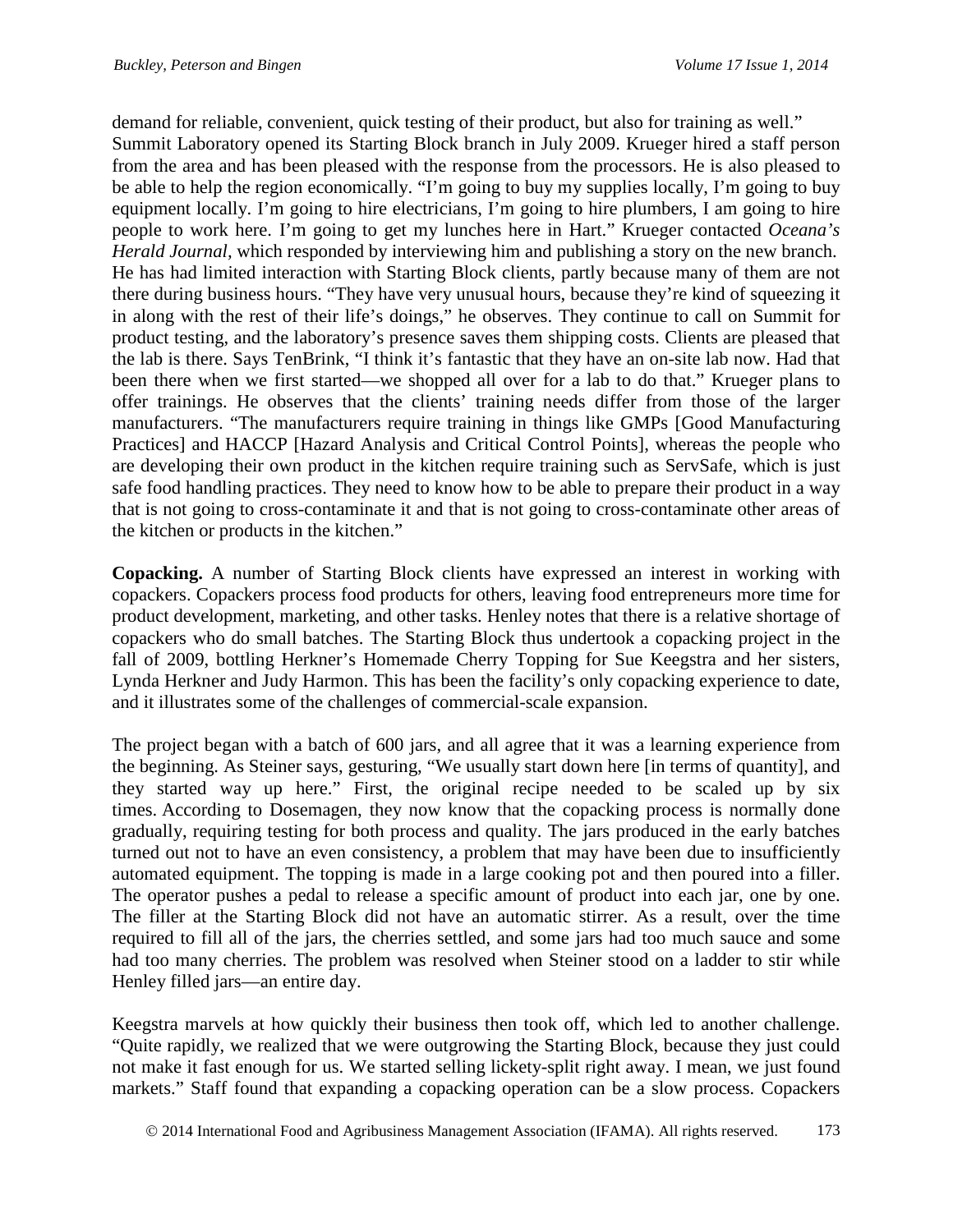demand for reliable, convenient, quick testing of their product, but also for training as well." Summit Laboratory opened its Starting Block branch in July 2009. Krueger hired a staff person from the area and has been pleased with the response from the processors. He is also pleased to be able to help the region economically. "I'm going to buy my supplies locally, I'm going to buy equipment locally. I'm going to hire electricians, I'm going to hire plumbers, I am going to hire people to work here. I'm going to get my lunches here in Hart." Krueger contacted *Oceana's Herald Journal,* which responded by interviewing him and publishing a story on the new branch. He has had limited interaction with Starting Block clients, partly because many of them are not there during business hours. "They have very unusual hours, because they're kind of squeezing it in along with the rest of their life's doings," he observes. They continue to call on Summit for product testing, and the laboratory's presence saves them shipping costs. Clients are pleased that the lab is there. Says TenBrink, "I think it's fantastic that they have an on-site lab now. Had that been there when we first started—we shopped all over for a lab to do that." Krueger plans to offer trainings. He observes that the clients' training needs differ from those of the larger manufacturers. "The manufacturers require training in things like GMPs [Good Manufacturing Practices] and HACCP [Hazard Analysis and Critical Control Points], whereas the people who are developing their own product in the kitchen require training such as ServSafe, which is just safe food handling practices. They need to know how to be able to prepare their product in a way that is not going to cross-contaminate it and that is not going to cross-contaminate other areas of the kitchen or products in the kitchen."

**Copacking.** A number of Starting Block clients have expressed an interest in working with copackers. Copackers process food products for others, leaving food entrepreneurs more time for product development, marketing, and other tasks. Henley notes that there is a relative shortage of copackers who do small batches. The Starting Block thus undertook a copacking project in the fall of 2009, bottling Herkner's Homemade Cherry Topping for Sue Keegstra and her sisters, Lynda Herkner and Judy Harmon. This has been the facility's only copacking experience to date, and it illustrates some of the challenges of commercial-scale expansion.

The project began with a batch of 600 jars, and all agree that it was a learning experience from the beginning. As Steiner says, gesturing, "We usually start down here [in terms of quantity], and they started way up here." First, the original recipe needed to be scaled up by six times. According to Dosemagen, they now know that the copacking process is normally done gradually, requiring testing for both process and quality. The jars produced in the early batches turned out not to have an even consistency, a problem that may have been due to insufficiently automated equipment. The topping is made in a large cooking pot and then poured into a filler. The operator pushes a pedal to release a specific amount of product into each jar, one by one. The filler at the Starting Block did not have an automatic stirrer. As a result, over the time required to fill all of the jars, the cherries settled, and some jars had too much sauce and some had too many cherries. The problem was resolved when Steiner stood on a ladder to stir while Henley filled jars—an entire day.

Keegstra marvels at how quickly their business then took off, which led to another challenge. "Quite rapidly, we realized that we were outgrowing the Starting Block, because they just could not make it fast enough for us. We started selling lickety-split right away. I mean, we just found markets." Staff found that expanding a copacking operation can be a slow process. Copackers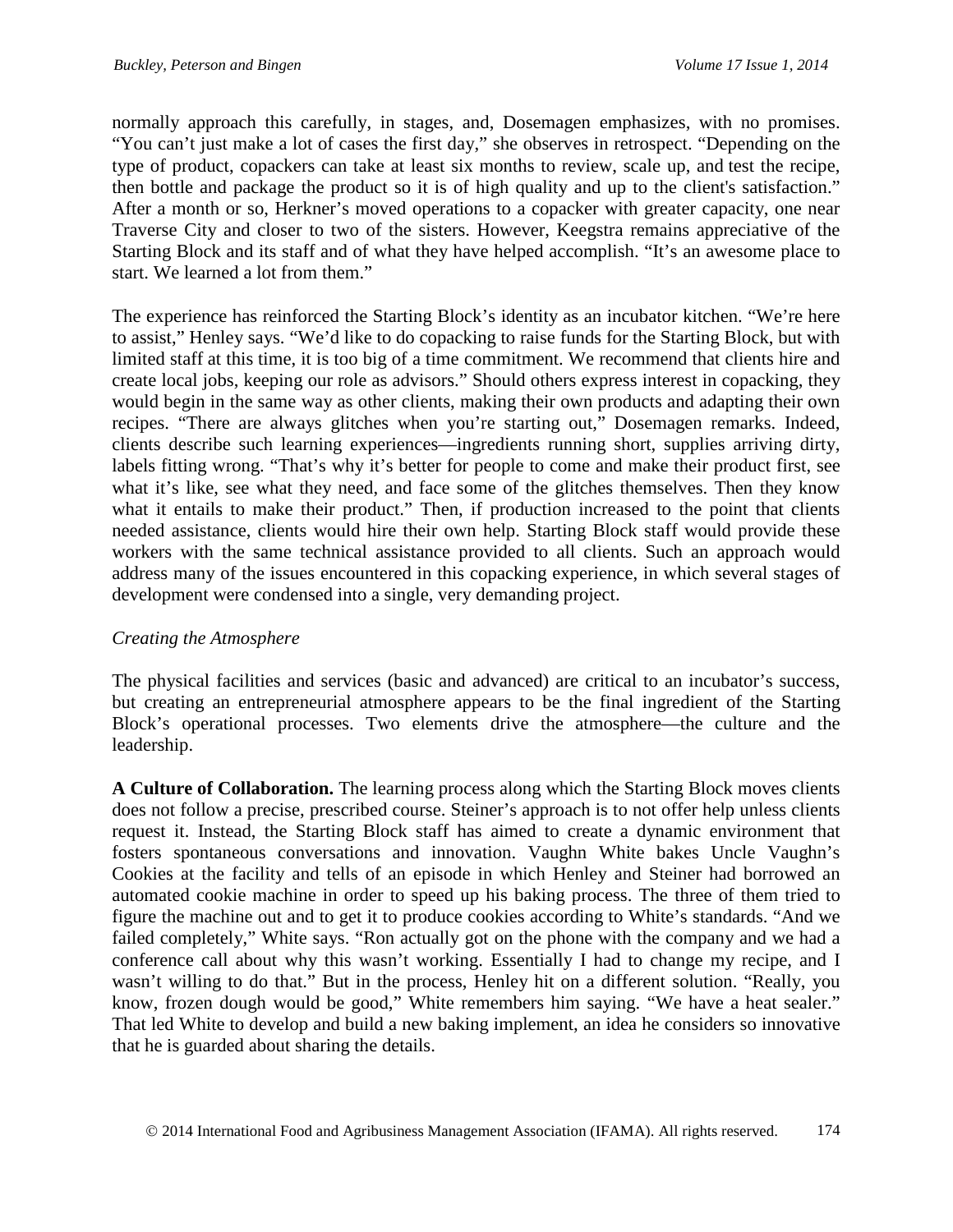normally approach this carefully, in stages, and, Dosemagen emphasizes, with no promises. "You can't just make a lot of cases the first day," she observes in retrospect. "Depending on the type of product, copackers can take at least six months to review, scale up, and test the recipe, then bottle and package the product so it is of high quality and up to the client's satisfaction." After a month or so, Herkner's moved operations to a copacker with greater capacity, one near Traverse City and closer to two of the sisters. However, Keegstra remains appreciative of the Starting Block and its staff and of what they have helped accomplish. "It's an awesome place to start. We learned a lot from them."

The experience has reinforced the Starting Block's identity as an incubator kitchen. "We're here to assist," Henley says. "We'd like to do copacking to raise funds for the Starting Block, but with limited staff at this time, it is too big of a time commitment. We recommend that clients hire and create local jobs, keeping our role as advisors." Should others express interest in copacking, they would begin in the same way as other clients, making their own products and adapting their own recipes. "There are always glitches when you're starting out," Dosemagen remarks. Indeed, clients describe such learning experiences—ingredients running short, supplies arriving dirty, labels fitting wrong. "That's why it's better for people to come and make their product first, see what it's like, see what they need, and face some of the glitches themselves. Then they know what it entails to make their product." Then, if production increased to the point that clients needed assistance, clients would hire their own help. Starting Block staff would provide these workers with the same technical assistance provided to all clients. Such an approach would address many of the issues encountered in this copacking experience, in which several stages of development were condensed into a single, very demanding project.

## *Creating the Atmosphere*

The physical facilities and services (basic and advanced) are critical to an incubator's success, but creating an entrepreneurial atmosphere appears to be the final ingredient of the Starting Block's operational processes. Two elements drive the atmosphere—the culture and the leadership.

**A Culture of Collaboration.** The learning process along which the Starting Block moves clients does not follow a precise, prescribed course. Steiner's approach is to not offer help unless clients request it. Instead, the Starting Block staff has aimed to create a dynamic environment that fosters spontaneous conversations and innovation. Vaughn White bakes Uncle Vaughn's Cookies at the facility and tells of an episode in which Henley and Steiner had borrowed an automated cookie machine in order to speed up his baking process. The three of them tried to figure the machine out and to get it to produce cookies according to White's standards. "And we failed completely," White says. "Ron actually got on the phone with the company and we had a conference call about why this wasn't working. Essentially I had to change my recipe, and I wasn't willing to do that." But in the process, Henley hit on a different solution. "Really, you know, frozen dough would be good," White remembers him saying. "We have a heat sealer." That led White to develop and build a new baking implement, an idea he considers so innovative that he is guarded about sharing the details.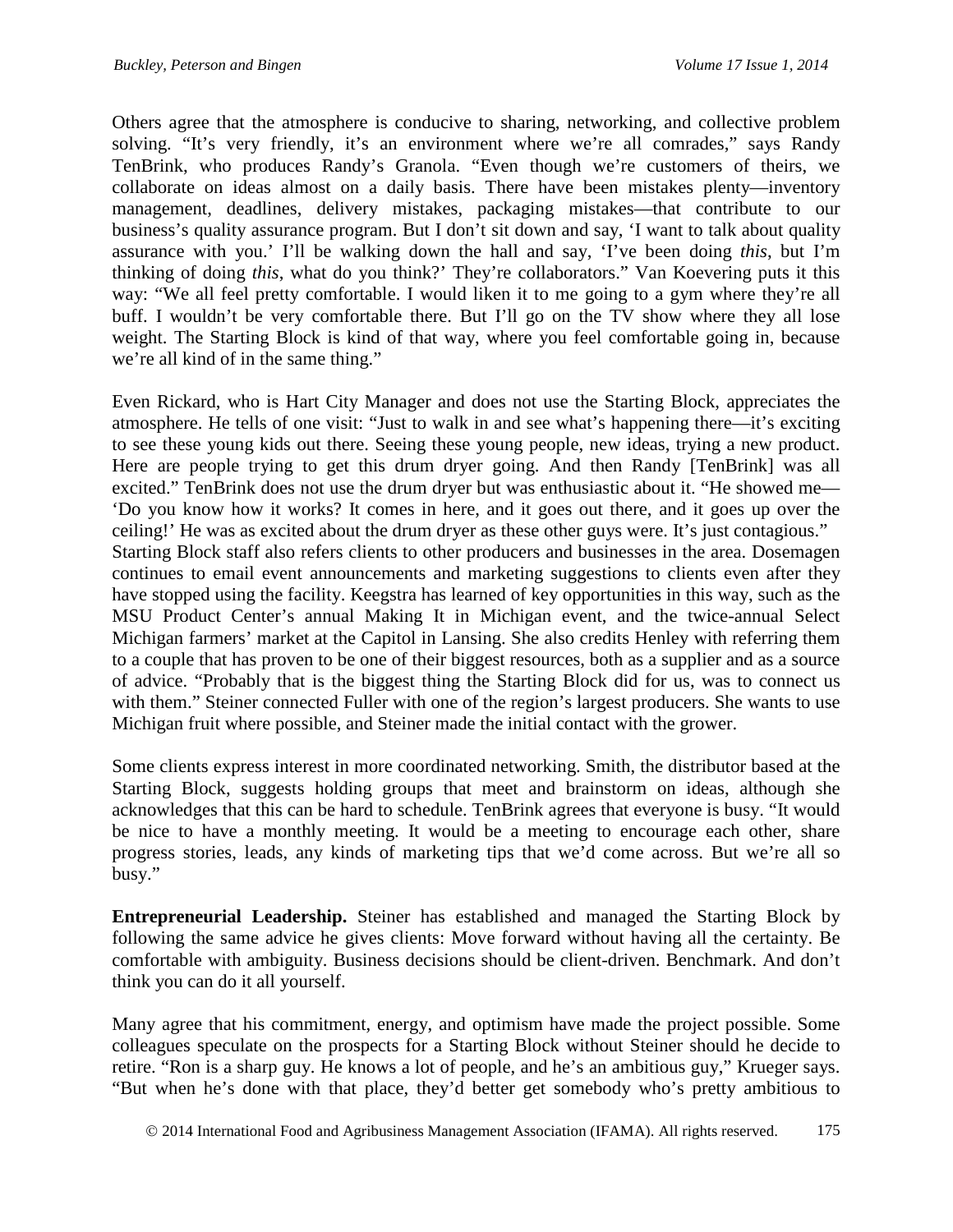Others agree that the atmosphere is conducive to sharing, networking, and collective problem solving. "It's very friendly, it's an environment where we're all comrades," says Randy TenBrink, who produces Randy's Granola. "Even though we're customers of theirs, we collaborate on ideas almost on a daily basis. There have been mistakes plenty—inventory management, deadlines, delivery mistakes, packaging mistakes—that contribute to our business's quality assurance program. But I don't sit down and say, 'I want to talk about quality assurance with you.' I'll be walking down the hall and say, 'I've been doing *this*, but I'm thinking of doing *this*, what do you think?' They're collaborators." Van Koevering puts it this way: "We all feel pretty comfortable. I would liken it to me going to a gym where they're all buff. I wouldn't be very comfortable there. But I'll go on the TV show where they all lose weight. The Starting Block is kind of that way, where you feel comfortable going in, because we're all kind of in the same thing."

Even Rickard, who is Hart City Manager and does not use the Starting Block, appreciates the atmosphere. He tells of one visit: "Just to walk in and see what's happening there—it's exciting to see these young kids out there. Seeing these young people, new ideas, trying a new product. Here are people trying to get this drum dryer going. And then Randy [TenBrink] was all excited." TenBrink does not use the drum dryer but was enthusiastic about it. "He showed me— 'Do you know how it works? It comes in here, and it goes out there, and it goes up over the ceiling!' He was as excited about the drum dryer as these other guys were. It's just contagious." Starting Block staff also refers clients to other producers and businesses in the area. Dosemagen continues to email event announcements and marketing suggestions to clients even after they have stopped using the facility. Keegstra has learned of key opportunities in this way, such as the MSU Product Center's annual Making It in Michigan event, and the twice-annual Select Michigan farmers' market at the Capitol in Lansing. She also credits Henley with referring them to a couple that has proven to be one of their biggest resources, both as a supplier and as a source of advice. "Probably that is the biggest thing the Starting Block did for us, was to connect us with them." Steiner connected Fuller with one of the region's largest producers. She wants to use Michigan fruit where possible, and Steiner made the initial contact with the grower.

Some clients express interest in more coordinated networking. Smith, the distributor based at the Starting Block, suggests holding groups that meet and brainstorm on ideas, although she acknowledges that this can be hard to schedule. TenBrink agrees that everyone is busy. "It would be nice to have a monthly meeting. It would be a meeting to encourage each other, share progress stories, leads, any kinds of marketing tips that we'd come across. But we're all so busy."

**Entrepreneurial Leadership.** Steiner has established and managed the Starting Block by following the same advice he gives clients: Move forward without having all the certainty. Be comfortable with ambiguity. Business decisions should be client-driven. Benchmark. And don't think you can do it all yourself.

Many agree that his commitment, energy, and optimism have made the project possible. Some colleagues speculate on the prospects for a Starting Block without Steiner should he decide to retire. "Ron is a sharp guy. He knows a lot of people, and he's an ambitious guy," Krueger says. "But when he's done with that place, they'd better get somebody who's pretty ambitious to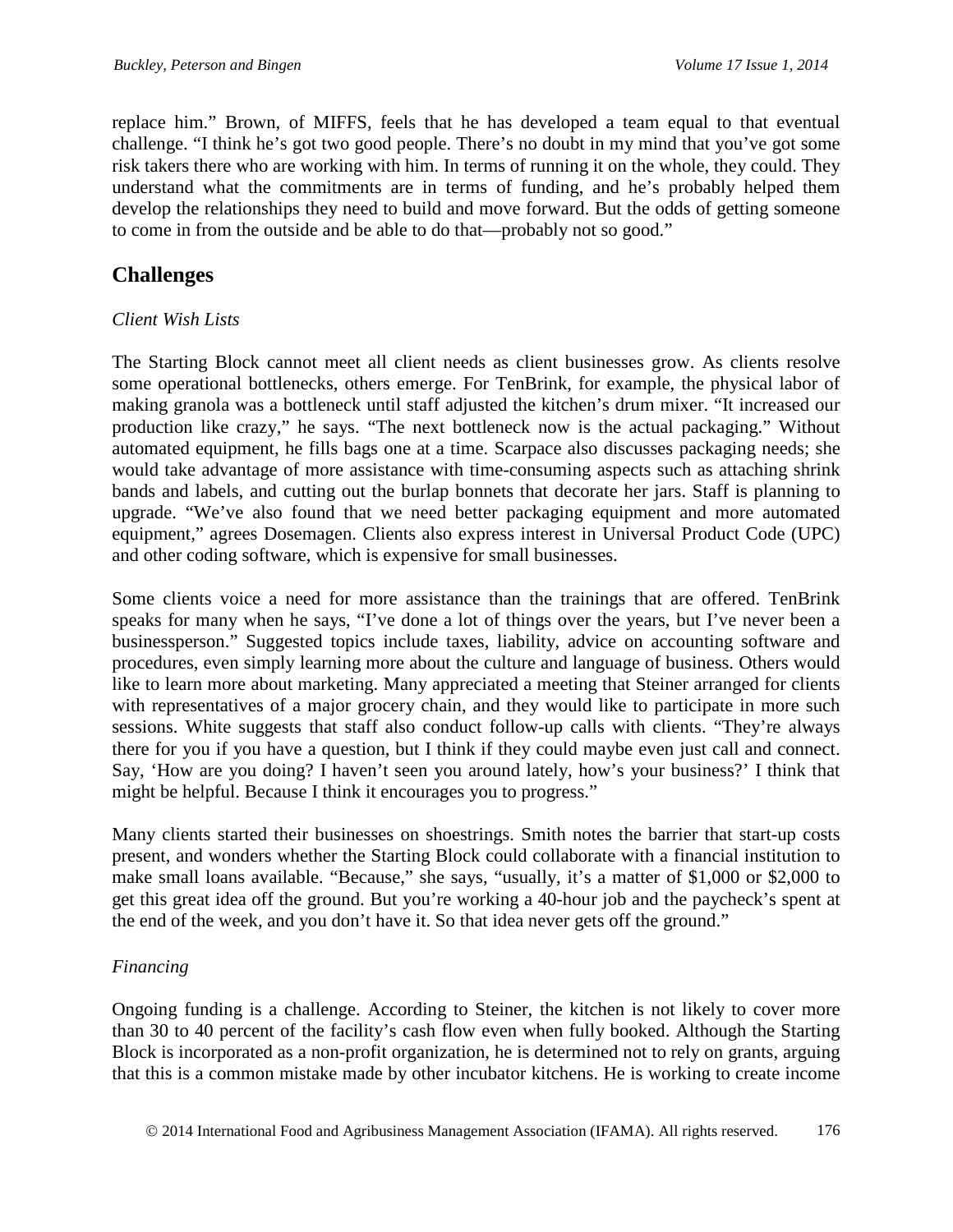replace him." Brown, of MIFFS, feels that he has developed a team equal to that eventual challenge. "I think he's got two good people. There's no doubt in my mind that you've got some risk takers there who are working with him. In terms of running it on the whole, they could. They understand what the commitments are in terms of funding, and he's probably helped them develop the relationships they need to build and move forward. But the odds of getting someone to come in from the outside and be able to do that—probably not so good."

# **Challenges**

#### *Client Wish Lists*

The Starting Block cannot meet all client needs as client businesses grow. As clients resolve some operational bottlenecks, others emerge. For TenBrink, for example, the physical labor of making granola was a bottleneck until staff adjusted the kitchen's drum mixer. "It increased our production like crazy," he says. "The next bottleneck now is the actual packaging." Without automated equipment, he fills bags one at a time. Scarpace also discusses packaging needs; she would take advantage of more assistance with time-consuming aspects such as attaching shrink bands and labels, and cutting out the burlap bonnets that decorate her jars. Staff is planning to upgrade. "We've also found that we need better packaging equipment and more automated equipment," agrees Dosemagen. Clients also express interest in Universal Product Code (UPC) and other coding software, which is expensive for small businesses.

Some clients voice a need for more assistance than the trainings that are offered. TenBrink speaks for many when he says, "I've done a lot of things over the years, but I've never been a businessperson." Suggested topics include taxes, liability, advice on accounting software and procedures, even simply learning more about the culture and language of business. Others would like to learn more about marketing. Many appreciated a meeting that Steiner arranged for clients with representatives of a major grocery chain, and they would like to participate in more such sessions. White suggests that staff also conduct follow-up calls with clients. "They're always there for you if you have a question, but I think if they could maybe even just call and connect. Say, 'How are you doing? I haven't seen you around lately, how's your business?' I think that might be helpful. Because I think it encourages you to progress."

Many clients started their businesses on shoestrings. Smith notes the barrier that start-up costs present, and wonders whether the Starting Block could collaborate with a financial institution to make small loans available. "Because," she says, "usually, it's a matter of \$1,000 or \$2,000 to get this great idea off the ground. But you're working a 40-hour job and the paycheck's spent at the end of the week, and you don't have it. So that idea never gets off the ground."

### *Financing*

Ongoing funding is a challenge. According to Steiner, the kitchen is not likely to cover more than 30 to 40 percent of the facility's cash flow even when fully booked. Although the Starting Block is incorporated as a non-profit organization, he is determined not to rely on grants, arguing that this is a common mistake made by other incubator kitchens. He is working to create income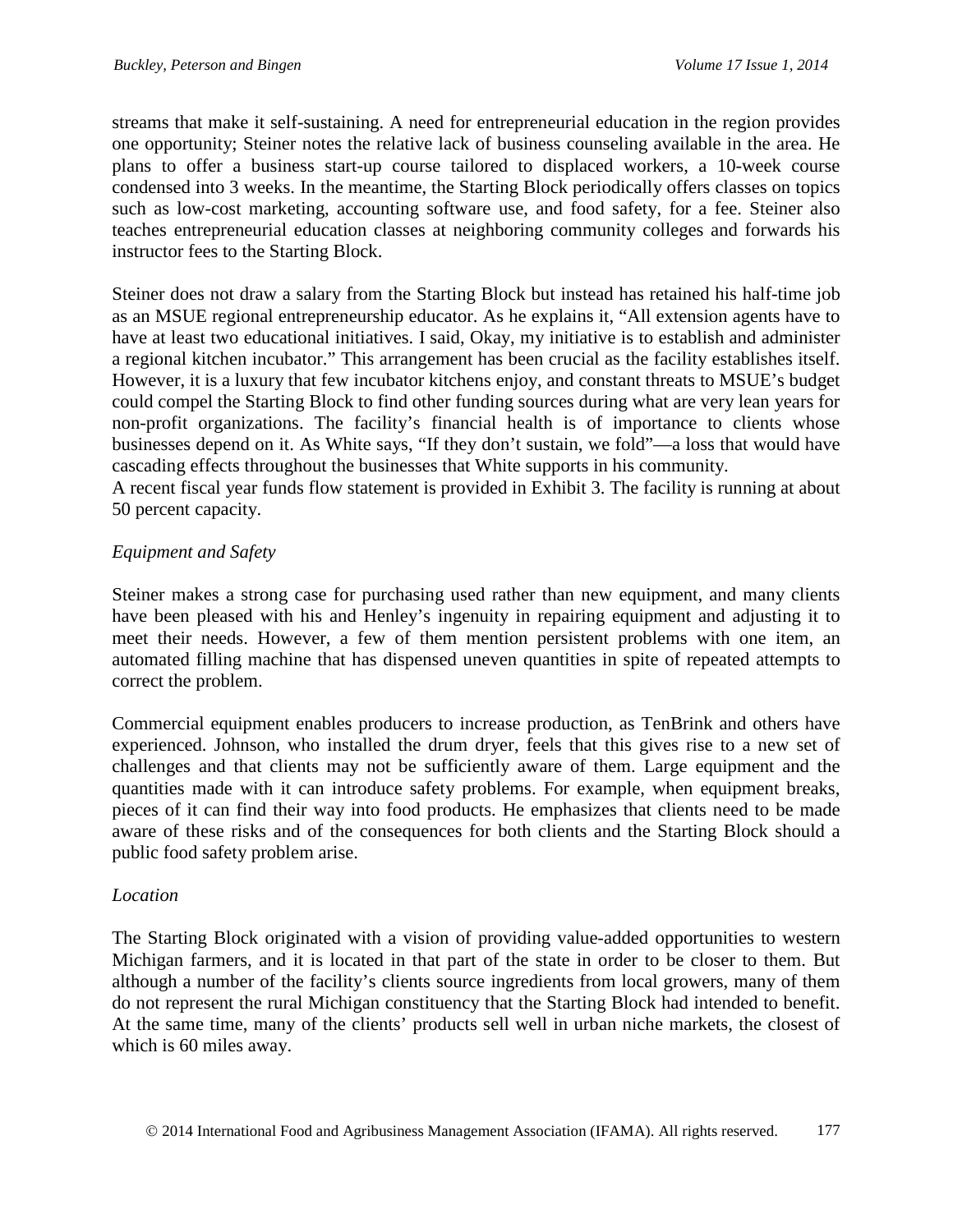streams that make it self-sustaining. A need for entrepreneurial education in the region provides one opportunity; Steiner notes the relative lack of business counseling available in the area. He plans to offer a business start-up course tailored to displaced workers, a 10-week course condensed into 3 weeks. In the meantime, the Starting Block periodically offers classes on topics such as low-cost marketing, accounting software use, and food safety, for a fee. Steiner also teaches entrepreneurial education classes at neighboring community colleges and forwards his instructor fees to the Starting Block.

Steiner does not draw a salary from the Starting Block but instead has retained his half-time job as an MSUE regional entrepreneurship educator. As he explains it, "All extension agents have to have at least two educational initiatives. I said, Okay, my initiative is to establish and administer a regional kitchen incubator." This arrangement has been crucial as the facility establishes itself. However, it is a luxury that few incubator kitchens enjoy, and constant threats to MSUE's budget could compel the Starting Block to find other funding sources during what are very lean years for non-profit organizations. The facility's financial health is of importance to clients whose businesses depend on it. As White says, "If they don't sustain, we fold"—a loss that would have cascading effects throughout the businesses that White supports in his community.

A recent fiscal year funds flow statement is provided in Exhibit 3. The facility is running at about 50 percent capacity.

### *Equipment and Safety*

Steiner makes a strong case for purchasing used rather than new equipment, and many clients have been pleased with his and Henley's ingenuity in repairing equipment and adjusting it to meet their needs. However, a few of them mention persistent problems with one item, an automated filling machine that has dispensed uneven quantities in spite of repeated attempts to correct the problem.

Commercial equipment enables producers to increase production, as TenBrink and others have experienced. Johnson, who installed the drum dryer, feels that this gives rise to a new set of challenges and that clients may not be sufficiently aware of them. Large equipment and the quantities made with it can introduce safety problems. For example, when equipment breaks, pieces of it can find their way into food products. He emphasizes that clients need to be made aware of these risks and of the consequences for both clients and the Starting Block should a public food safety problem arise.

#### *Location*

The Starting Block originated with a vision of providing value-added opportunities to western Michigan farmers, and it is located in that part of the state in order to be closer to them. But although a number of the facility's clients source ingredients from local growers, many of them do not represent the rural Michigan constituency that the Starting Block had intended to benefit. At the same time, many of the clients' products sell well in urban niche markets, the closest of which is 60 miles away.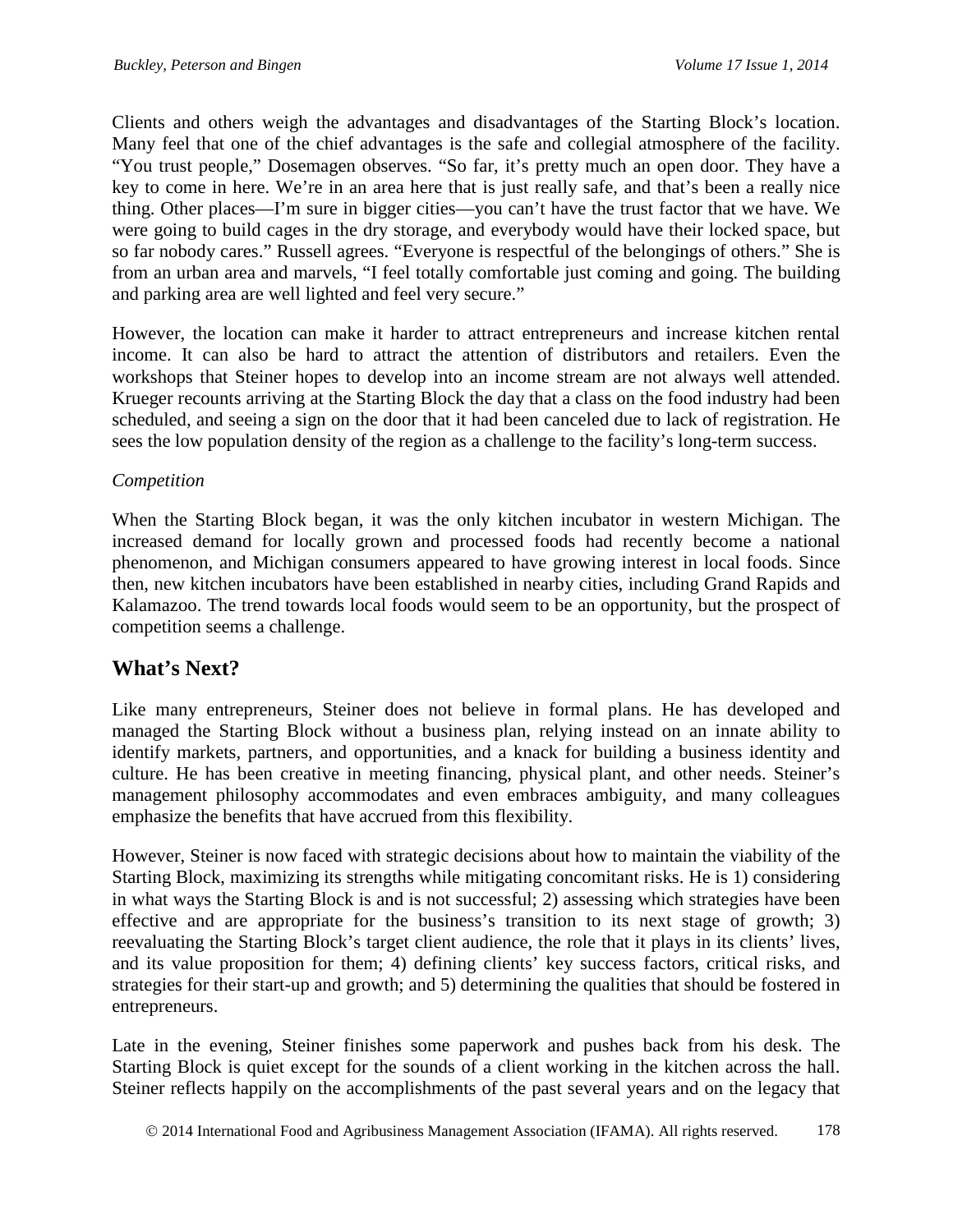Clients and others weigh the advantages and disadvantages of the Starting Block's location. Many feel that one of the chief advantages is the safe and collegial atmosphere of the facility. "You trust people," Dosemagen observes. "So far, it's pretty much an open door. They have a key to come in here. We're in an area here that is just really safe, and that's been a really nice thing. Other places—I'm sure in bigger cities—you can't have the trust factor that we have. We were going to build cages in the dry storage, and everybody would have their locked space, but so far nobody cares." Russell agrees. "Everyone is respectful of the belongings of others." She is from an urban area and marvels, "I feel totally comfortable just coming and going. The building and parking area are well lighted and feel very secure."

However, the location can make it harder to attract entrepreneurs and increase kitchen rental income. It can also be hard to attract the attention of distributors and retailers. Even the workshops that Steiner hopes to develop into an income stream are not always well attended. Krueger recounts arriving at the Starting Block the day that a class on the food industry had been scheduled, and seeing a sign on the door that it had been canceled due to lack of registration. He sees the low population density of the region as a challenge to the facility's long-term success.

## *Competition*

When the Starting Block began, it was the only kitchen incubator in western Michigan. The increased demand for locally grown and processed foods had recently become a national phenomenon, and Michigan consumers appeared to have growing interest in local foods. Since then, new kitchen incubators have been established in nearby cities, including Grand Rapids and Kalamazoo. The trend towards local foods would seem to be an opportunity, but the prospect of competition seems a challenge.

# **What's Next?**

Like many entrepreneurs, Steiner does not believe in formal plans. He has developed and managed the Starting Block without a business plan, relying instead on an innate ability to identify markets, partners, and opportunities, and a knack for building a business identity and culture. He has been creative in meeting financing, physical plant, and other needs. Steiner's management philosophy accommodates and even embraces ambiguity, and many colleagues emphasize the benefits that have accrued from this flexibility.

However, Steiner is now faced with strategic decisions about how to maintain the viability of the Starting Block, maximizing its strengths while mitigating concomitant risks. He is 1) considering in what ways the Starting Block is and is not successful; 2) assessing which strategies have been effective and are appropriate for the business's transition to its next stage of growth; 3) reevaluating the Starting Block's target client audience, the role that it plays in its clients' lives, and its value proposition for them; 4) defining clients' key success factors, critical risks, and strategies for their start-up and growth; and 5) determining the qualities that should be fostered in entrepreneurs.

Late in the evening, Steiner finishes some paperwork and pushes back from his desk. The Starting Block is quiet except for the sounds of a client working in the kitchen across the hall. Steiner reflects happily on the accomplishments of the past several years and on the legacy that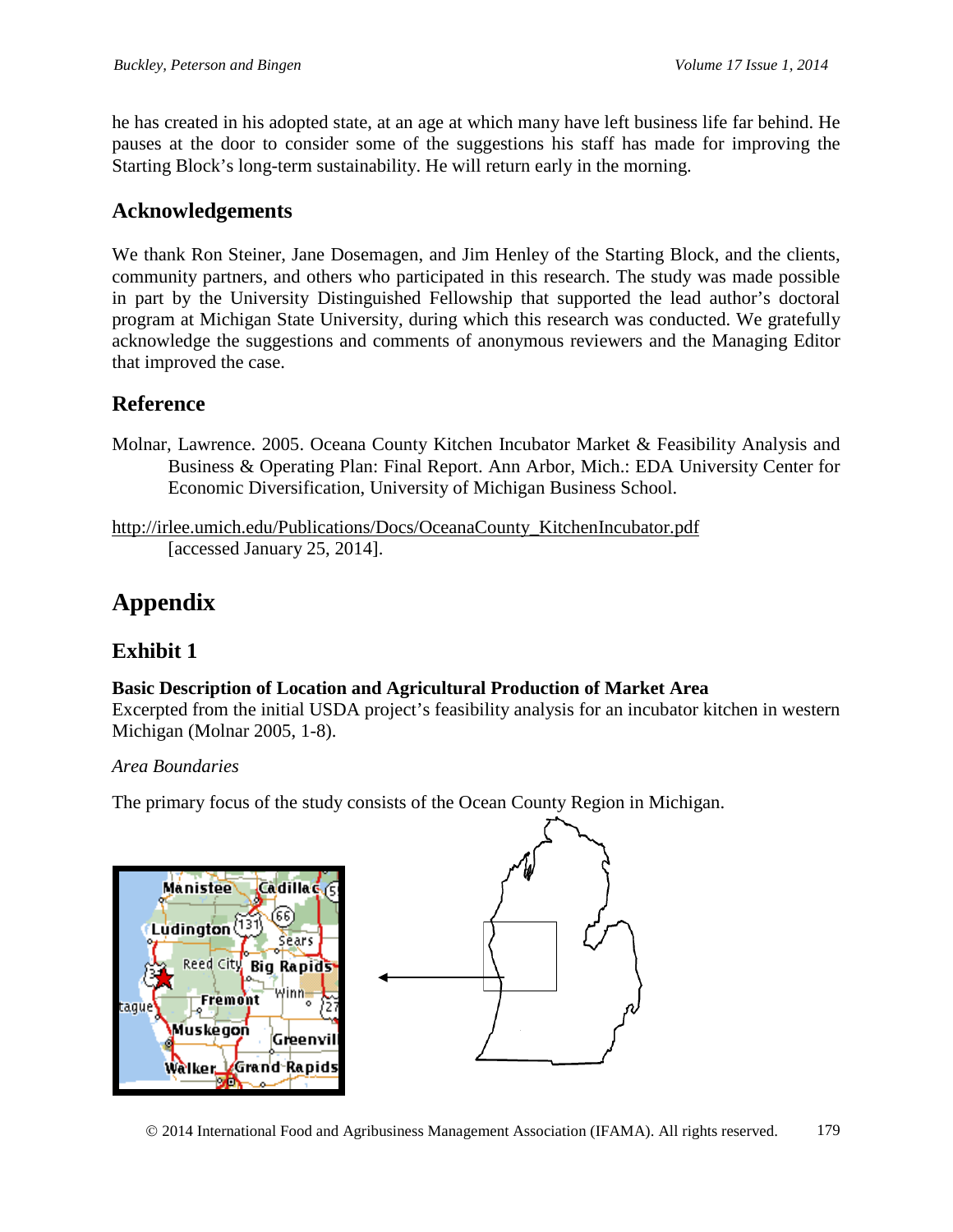he has created in his adopted state, at an age at which many have left business life far behind. He pauses at the door to consider some of the suggestions his staff has made for improving the Starting Block's long-term sustainability. He will return early in the morning.

# **Acknowledgements**

We thank Ron Steiner, Jane Dosemagen, and Jim Henley of the Starting Block, and the clients, community partners, and others who participated in this research. The study was made possible in part by the University Distinguished Fellowship that supported the lead author's doctoral program at Michigan State University, during which this research was conducted. We gratefully acknowledge the suggestions and comments of anonymous reviewers and the Managing Editor that improved the case.

# **Reference**

Molnar, Lawrence. 2005. Oceana County Kitchen Incubator Market & Feasibility Analysis and Business & Operating Plan: Final Report. Ann Arbor, Mich.: EDA University Center for Economic Diversification, University of Michigan Business School.

[http://irlee.umich.edu/Publications/Docs/OceanaCounty\\_KitchenIncubator.pdf](http://irlee.umich.edu/Publications/Docs/OceanaCounty_KitchenIncubator.pdf) [accessed January 25, 2014].

# **Appendix**

# **Exhibit 1**

### **Basic Description of Location and Agricultural Production of Market Area**

Excerpted from the initial USDA project's feasibility analysis for an incubator kitchen in western Michigan (Molnar 2005, 1-8).

### *Area Boundaries*

The primary focus of the study consists of the Ocean County Region in Michigan.



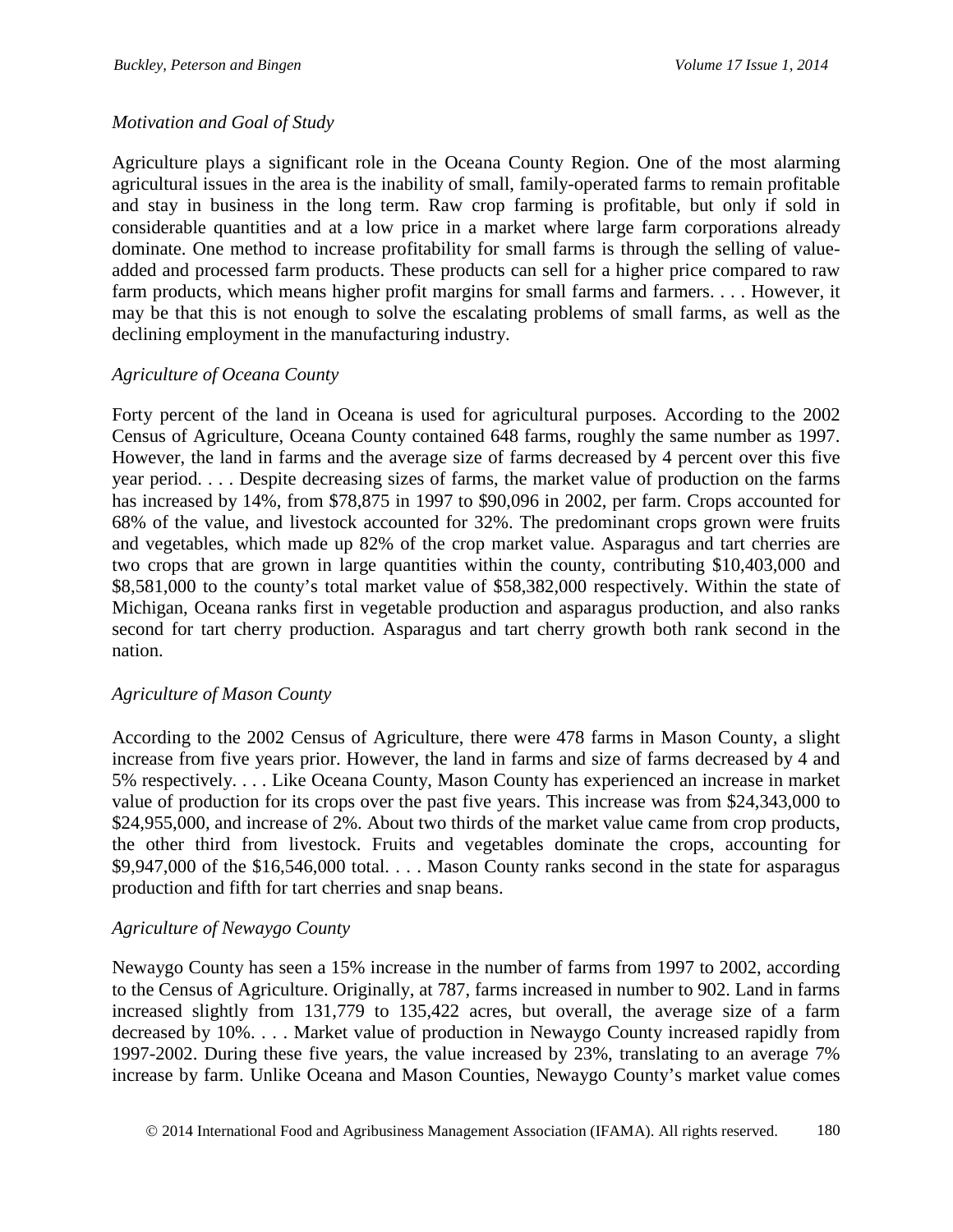## *Motivation and Goal of Study*

Agriculture plays a significant role in the Oceana County Region. One of the most alarming agricultural issues in the area is the inability of small, family-operated farms to remain profitable and stay in business in the long term. Raw crop farming is profitable, but only if sold in considerable quantities and at a low price in a market where large farm corporations already dominate. One method to increase profitability for small farms is through the selling of valueadded and processed farm products. These products can sell for a higher price compared to raw farm products, which means higher profit margins for small farms and farmers. . . . However, it may be that this is not enough to solve the escalating problems of small farms, as well as the declining employment in the manufacturing industry.

### *Agriculture of Oceana County*

Forty percent of the land in Oceana is used for agricultural purposes. According to the 2002 Census of Agriculture, Oceana County contained 648 farms, roughly the same number as 1997. However, the land in farms and the average size of farms decreased by 4 percent over this five year period. . . . Despite decreasing sizes of farms, the market value of production on the farms has increased by 14%, from \$78,875 in 1997 to \$90,096 in 2002, per farm. Crops accounted for 68% of the value, and livestock accounted for 32%. The predominant crops grown were fruits and vegetables, which made up 82% of the crop market value. Asparagus and tart cherries are two crops that are grown in large quantities within the county, contributing \$10,403,000 and \$8,581,000 to the county's total market value of \$58,382,000 respectively. Within the state of Michigan, Oceana ranks first in vegetable production and asparagus production, and also ranks second for tart cherry production. Asparagus and tart cherry growth both rank second in the nation.

### *Agriculture of Mason County*

According to the 2002 Census of Agriculture, there were 478 farms in Mason County, a slight increase from five years prior. However, the land in farms and size of farms decreased by 4 and 5% respectively. . . . Like Oceana County, Mason County has experienced an increase in market value of production for its crops over the past five years. This increase was from \$24,343,000 to \$24,955,000, and increase of 2%. About two thirds of the market value came from crop products, the other third from livestock. Fruits and vegetables dominate the crops, accounting for \$9,947,000 of the \$16,546,000 total. . . . Mason County ranks second in the state for asparagus production and fifth for tart cherries and snap beans.

### *Agriculture of Newaygo County*

Newaygo County has seen a 15% increase in the number of farms from 1997 to 2002, according to the Census of Agriculture. Originally, at 787, farms increased in number to 902. Land in farms increased slightly from 131,779 to 135,422 acres, but overall, the average size of a farm decreased by 10%. . . . Market value of production in Newaygo County increased rapidly from 1997-2002. During these five years, the value increased by 23%, translating to an average 7% increase by farm. Unlike Oceana and Mason Counties, Newaygo County's market value comes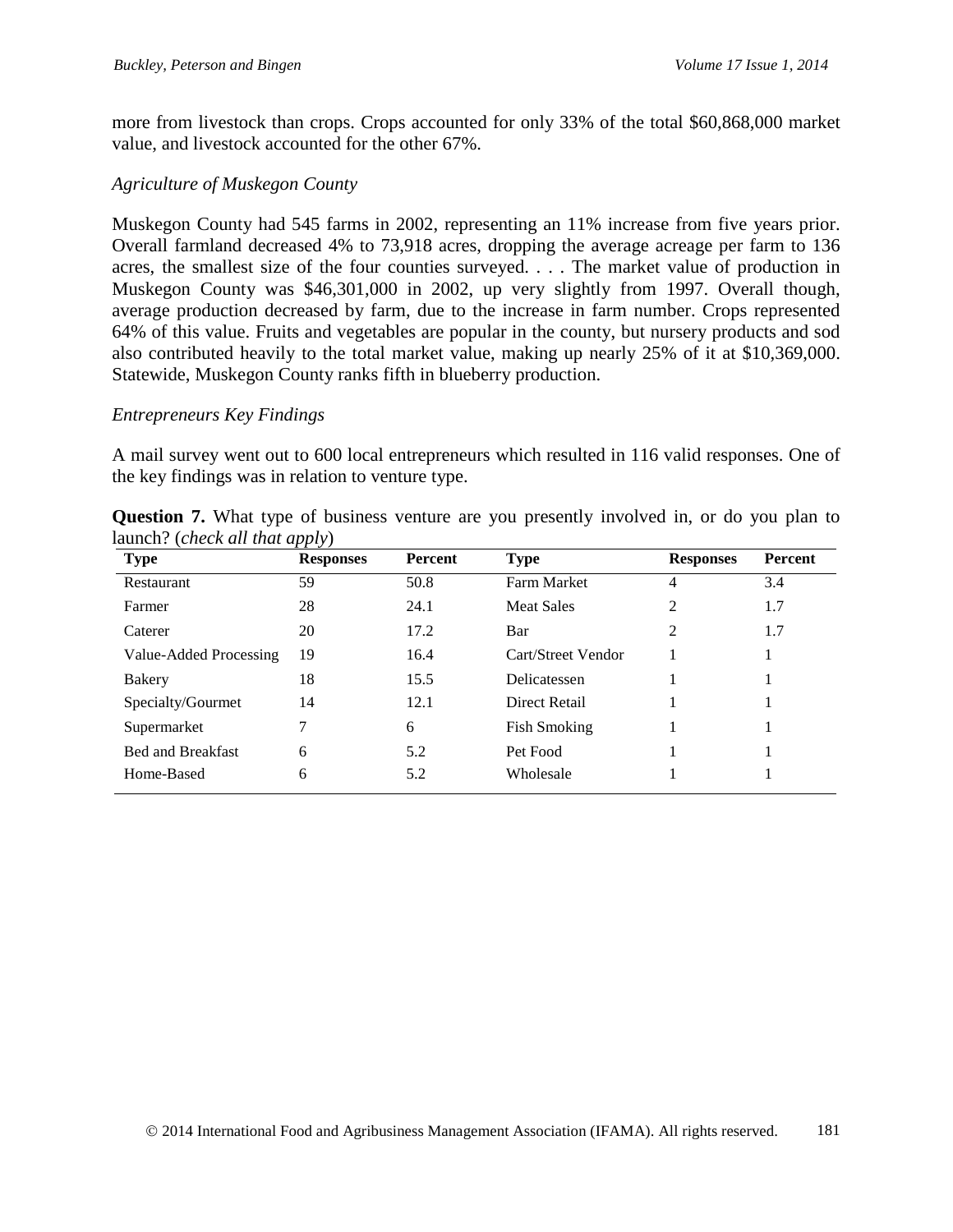more from livestock than crops. Crops accounted for only 33% of the total \$60,868,000 market value, and livestock accounted for the other 67%.

#### *Agriculture of Muskegon County*

Muskegon County had 545 farms in 2002, representing an 11% increase from five years prior. Overall farmland decreased 4% to 73,918 acres, dropping the average acreage per farm to 136 acres, the smallest size of the four counties surveyed. . . . The market value of production in Muskegon County was \$46,301,000 in 2002, up very slightly from 1997. Overall though, average production decreased by farm, due to the increase in farm number. Crops represented 64% of this value. Fruits and vegetables are popular in the county, but nursery products and sod also contributed heavily to the total market value, making up nearly 25% of it at \$10,369,000. Statewide, Muskegon County ranks fifth in blueberry production.

#### *Entrepreneurs Key Findings*

A mail survey went out to 600 local entrepreneurs which resulted in 116 valid responses. One of the key findings was in relation to venture type.

| <b>Type</b>              | <b>Responses</b> | Percent | <b>Type</b>         | <b>Responses</b> | Percent |
|--------------------------|------------------|---------|---------------------|------------------|---------|
| Restaurant               | 59               | 50.8    | <b>Farm Market</b>  | 4                | 3.4     |
| Farmer                   | 28               | 24.1    | <b>Meat Sales</b>   | 2                | 1.7     |
| Caterer                  | 20               | 17.2    | Bar                 | 2                | 1.7     |
| Value-Added Processing   | 19               | 16.4    | Cart/Street Vendor  |                  |         |
| <b>Bakery</b>            | 18               | 15.5    | Delicatessen        |                  |         |
| Specialty/Gourmet        | 14               | 12.1    | Direct Retail       |                  |         |
| Supermarket              |                  | 6       | <b>Fish Smoking</b> |                  |         |
| <b>Bed and Breakfast</b> | 6                | 5.2     | Pet Food            |                  |         |
| Home-Based               | 6                | 5.2     | Wholesale           |                  |         |

**Question 7.** What type of business venture are you presently involved in, or do you plan to launch? (*check all that apply*)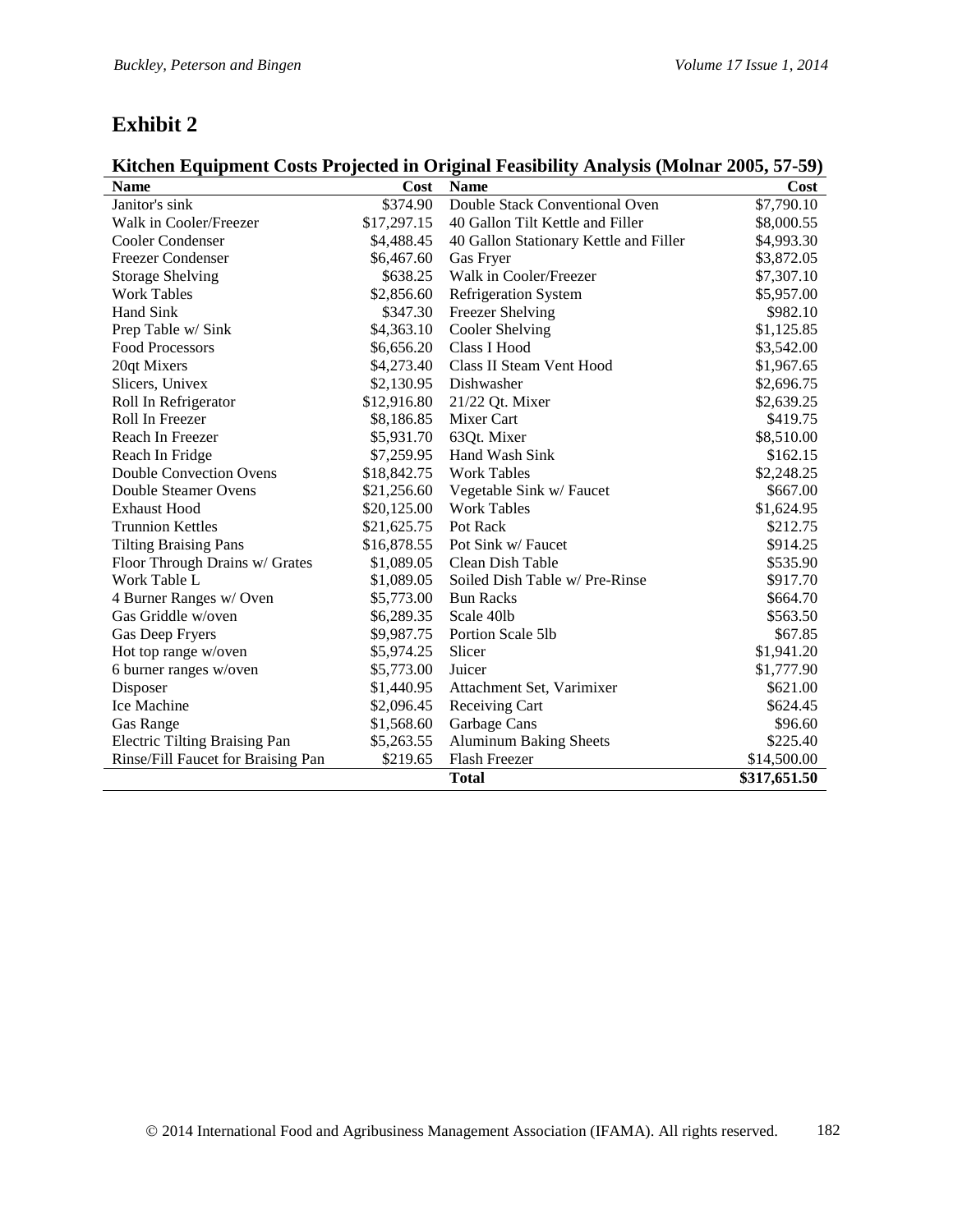# **Exhibit 2**

# **Kitchen Equipment Costs Projected in Original Feasibility Analysis (Molnar 2005, 57-59)**

| <b>Name</b>                          | Cost        | <b>Name</b>                            | Cost         |
|--------------------------------------|-------------|----------------------------------------|--------------|
| Janitor's sink                       | \$374.90    | Double Stack Conventional Oven         | \$7,790.10   |
| Walk in Cooler/Freezer               | \$17,297.15 | 40 Gallon Tilt Kettle and Filler       | \$8,000.55   |
| <b>Cooler Condenser</b>              | \$4,488.45  | 40 Gallon Stationary Kettle and Filler | \$4,993.30   |
| <b>Freezer Condenser</b>             | \$6,467.60  | Gas Fryer                              | \$3,872.05   |
| <b>Storage Shelving</b>              | \$638.25    | Walk in Cooler/Freezer                 | \$7,307.10   |
| <b>Work Tables</b>                   | \$2,856.60  | Refrigeration System                   | \$5,957.00   |
| Hand Sink                            | \$347.30    | Freezer Shelving                       | \$982.10     |
| Prep Table w/ Sink                   | \$4,363.10  | Cooler Shelving                        | \$1,125.85   |
| <b>Food Processors</b>               | \$6,656.20  | <b>Class I Hood</b>                    | \$3,542.00   |
| 20qt Mixers                          | \$4,273.40  | Class II Steam Vent Hood               | \$1,967.65   |
| Slicers, Univex                      | \$2,130.95  | Dishwasher                             | \$2,696.75   |
| Roll In Refrigerator                 | \$12,916.80 | 21/22 Qt. Mixer                        | \$2,639.25   |
| Roll In Freezer                      | \$8,186.85  | Mixer Cart                             | \$419.75     |
| Reach In Freezer                     | \$5,931.70  | 63Qt. Mixer                            | \$8,510.00   |
| Reach In Fridge                      | \$7,259.95  | Hand Wash Sink                         | \$162.15     |
| <b>Double Convection Ovens</b>       | \$18,842.75 | <b>Work Tables</b>                     | \$2,248.25   |
| Double Steamer Ovens                 | \$21,256.60 | Vegetable Sink w/ Faucet               | \$667.00     |
| <b>Exhaust Hood</b>                  | \$20,125.00 | <b>Work Tables</b>                     | \$1,624.95   |
| <b>Trunnion Kettles</b>              | \$21,625.75 | Pot Rack                               | \$212.75     |
| <b>Tilting Braising Pans</b>         | \$16,878.55 | Pot Sink w/ Faucet                     | \$914.25     |
| Floor Through Drains w/ Grates       | \$1,089.05  | Clean Dish Table                       | \$535.90     |
| Work Table L                         | \$1,089.05  | Soiled Dish Table w/ Pre-Rinse         | \$917.70     |
| 4 Burner Ranges w/Oven               | \$5,773.00  | <b>Bun Racks</b>                       | \$664.70     |
| Gas Griddle w/oven                   | \$6,289.35  | Scale 40lb                             | \$563.50     |
| Gas Deep Fryers                      | \$9,987.75  | Portion Scale 5lb                      | \$67.85      |
| Hot top range w/oven                 | \$5,974.25  | Slicer                                 | \$1,941.20   |
| 6 burner ranges w/oven               | \$5,773.00  | Juicer                                 | \$1,777.90   |
| Disposer                             | \$1,440.95  | Attachment Set, Varimixer              | \$621.00     |
| Ice Machine                          | \$2,096.45  | Receiving Cart                         | \$624.45     |
| <b>Gas Range</b>                     | \$1,568.60  | Garbage Cans                           | \$96.60      |
| <b>Electric Tilting Braising Pan</b> | \$5,263.55  | <b>Aluminum Baking Sheets</b>          | \$225.40     |
| Rinse/Fill Faucet for Braising Pan   | \$219.65    | Flash Freezer                          | \$14,500.00  |
|                                      |             | <b>Total</b>                           | \$317,651.50 |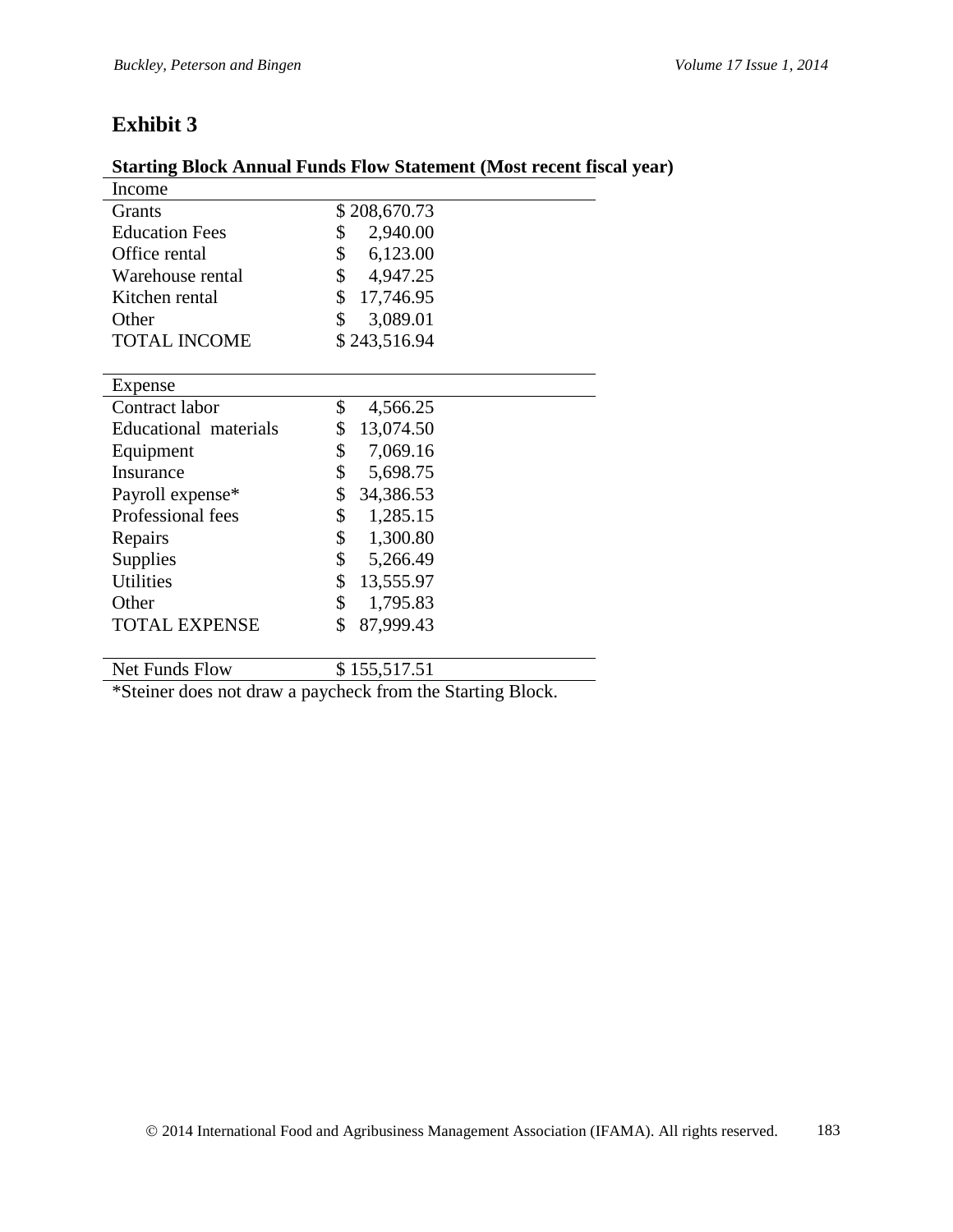# **Exhibit 3**

| <b>Starting Block Annual Funds Flow Statement (Most recent fiscal year)</b> |  |
|-----------------------------------------------------------------------------|--|
|-----------------------------------------------------------------------------|--|

| Income                |                 |
|-----------------------|-----------------|
| <b>Grants</b>         | \$208,670.73    |
| <b>Education Fees</b> | \$<br>2,940.00  |
| Office rental         | \$<br>6,123.00  |
| Warehouse rental      | \$<br>4,947.25  |
| Kitchen rental        | \$<br>17,746.95 |
| Other                 | \$<br>3,089.01  |
| <b>TOTAL INCOME</b>   | \$243,516.94    |
|                       |                 |
| Expense               |                 |
| Contract labor        | \$<br>4,566.25  |
| Educational materials | \$<br>13,074.50 |
| Equipment             | \$<br>7,069.16  |
| Insurance             | \$<br>5,698.75  |
| Payroll expense*      | \$<br>34,386.53 |
| Professional fees     | \$<br>1,285.15  |
| Repairs               | \$<br>1,300.80  |
| Supplies              | \$<br>5,266.49  |
| <b>Utilities</b>      | \$<br>13,555.97 |
| Other                 | \$<br>1,795.83  |
| <b>TOTAL EXPENSE</b>  | \$<br>87,999.43 |
|                       |                 |
| Net Funds Flow        | \$155,517.51    |
|                       |                 |

\*Steiner does not draw a paycheck from the Starting Block.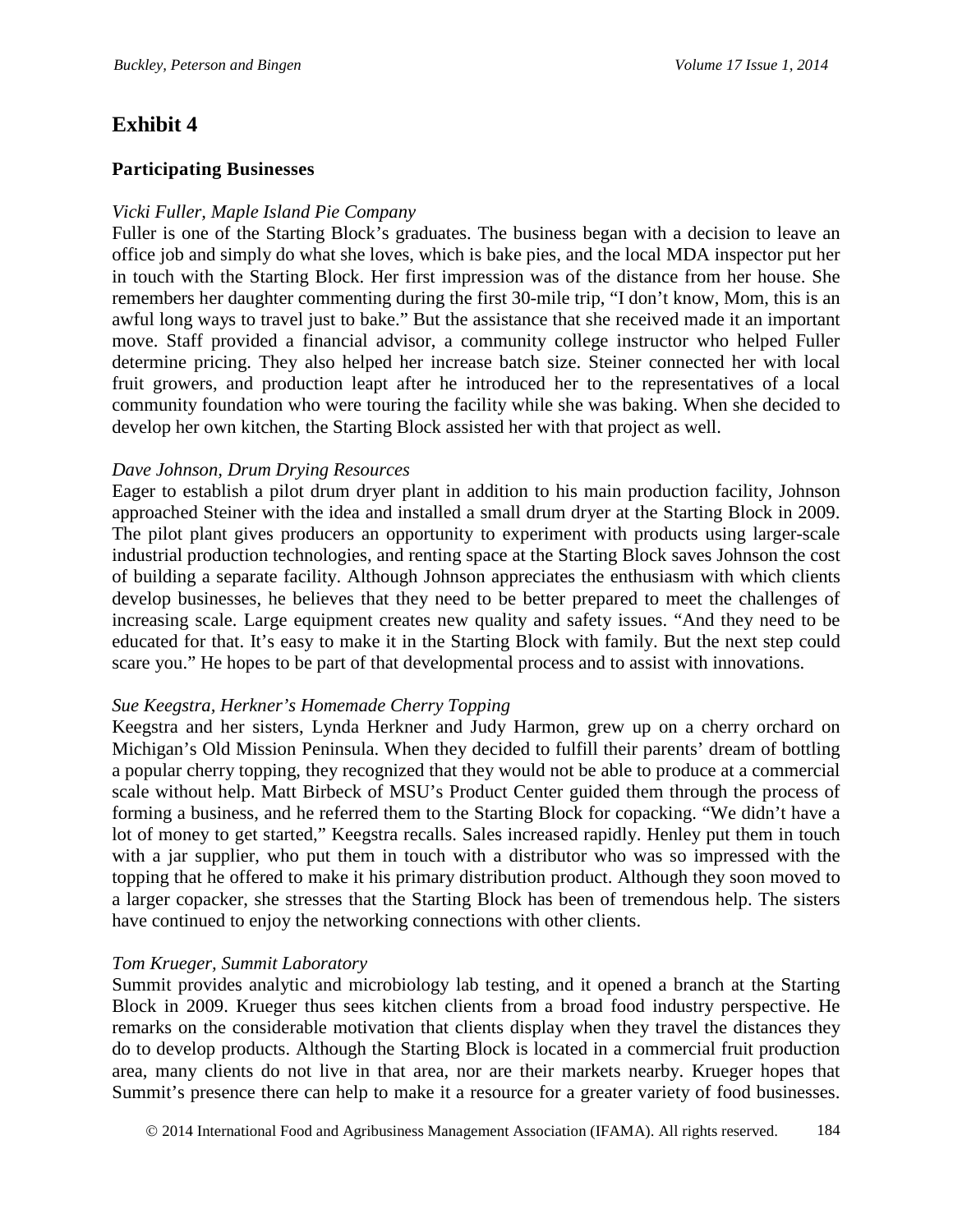# **Exhibit 4**

#### **Participating Businesses**

#### *Vicki Fuller, Maple Island Pie Company*

Fuller is one of the Starting Block's graduates. The business began with a decision to leave an office job and simply do what she loves, which is bake pies, and the local MDA inspector put her in touch with the Starting Block. Her first impression was of the distance from her house. She remembers her daughter commenting during the first 30-mile trip, "I don't know, Mom, this is an awful long ways to travel just to bake." But the assistance that she received made it an important move. Staff provided a financial advisor, a community college instructor who helped Fuller determine pricing. They also helped her increase batch size. Steiner connected her with local fruit growers, and production leapt after he introduced her to the representatives of a local community foundation who were touring the facility while she was baking. When she decided to develop her own kitchen, the Starting Block assisted her with that project as well.

#### *Dave Johnson, Drum Drying Resources*

Eager to establish a pilot drum dryer plant in addition to his main production facility, Johnson approached Steiner with the idea and installed a small drum dryer at the Starting Block in 2009. The pilot plant gives producers an opportunity to experiment with products using larger-scale industrial production technologies, and renting space at the Starting Block saves Johnson the cost of building a separate facility. Although Johnson appreciates the enthusiasm with which clients develop businesses, he believes that they need to be better prepared to meet the challenges of increasing scale. Large equipment creates new quality and safety issues. "And they need to be educated for that. It's easy to make it in the Starting Block with family. But the next step could scare you." He hopes to be part of that developmental process and to assist with innovations.

#### *Sue Keegstra, Herkner's Homemade Cherry Topping*

Keegstra and her sisters, Lynda Herkner and Judy Harmon, grew up on a cherry orchard on Michigan's Old Mission Peninsula. When they decided to fulfill their parents' dream of bottling a popular cherry topping, they recognized that they would not be able to produce at a commercial scale without help. Matt Birbeck of MSU's Product Center guided them through the process of forming a business, and he referred them to the Starting Block for copacking. "We didn't have a lot of money to get started," Keegstra recalls. Sales increased rapidly. Henley put them in touch with a jar supplier, who put them in touch with a distributor who was so impressed with the topping that he offered to make it his primary distribution product. Although they soon moved to a larger copacker, she stresses that the Starting Block has been of tremendous help. The sisters have continued to enjoy the networking connections with other clients.

#### *Tom Krueger, Summit Laboratory*

Summit provides analytic and microbiology lab testing, and it opened a branch at the Starting Block in 2009. Krueger thus sees kitchen clients from a broad food industry perspective. He remarks on the considerable motivation that clients display when they travel the distances they do to develop products. Although the Starting Block is located in a commercial fruit production area, many clients do not live in that area, nor are their markets nearby. Krueger hopes that Summit's presence there can help to make it a resource for a greater variety of food businesses.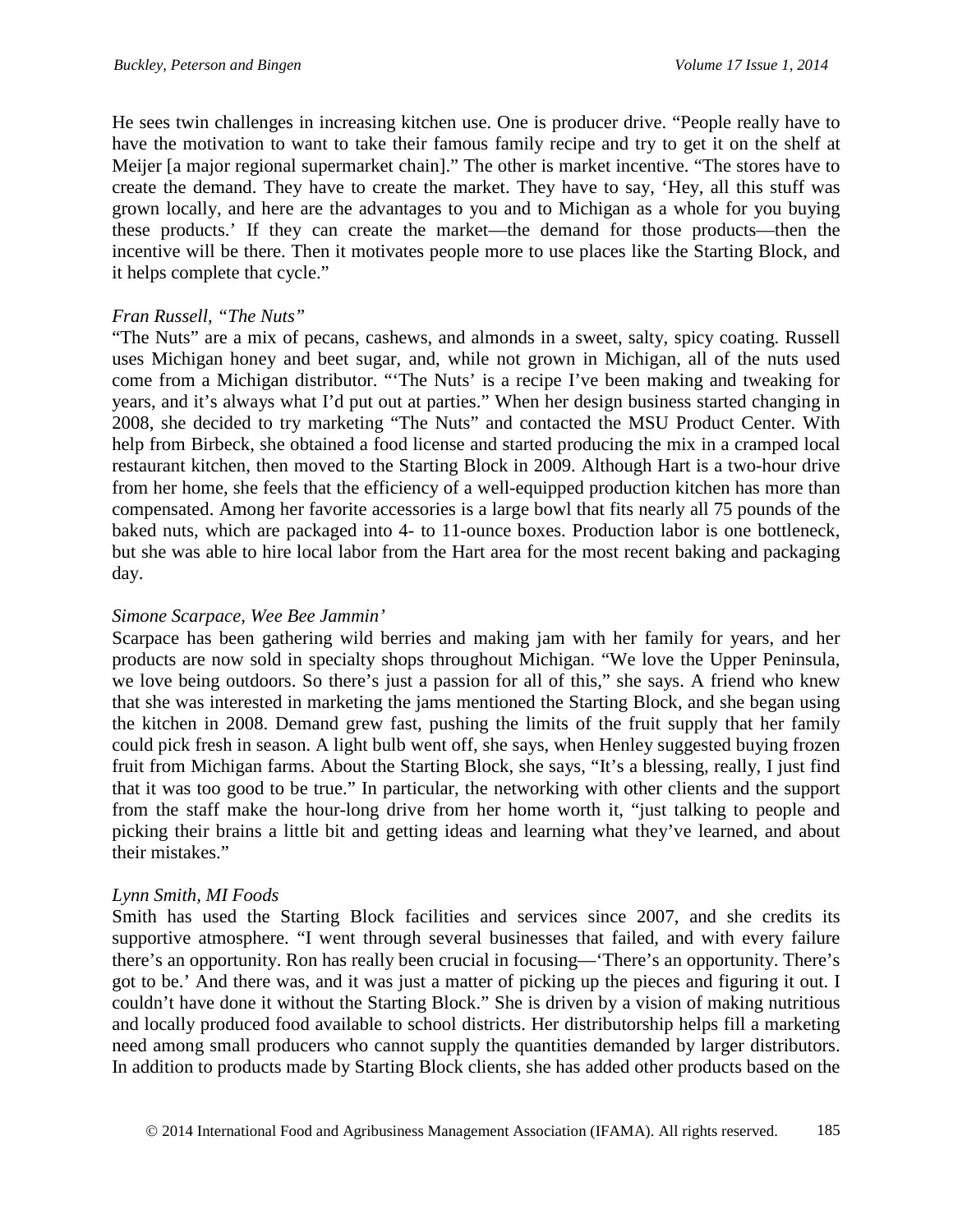He sees twin challenges in increasing kitchen use. One is producer drive. "People really have to have the motivation to want to take their famous family recipe and try to get it on the shelf at Meijer [a major regional supermarket chain]." The other is market incentive. "The stores have to create the demand. They have to create the market. They have to say, 'Hey, all this stuff was grown locally, and here are the advantages to you and to Michigan as a whole for you buying these products.' If they can create the market—the demand for those products—then the incentive will be there. Then it motivates people more to use places like the Starting Block, and it helps complete that cycle."

#### *Fran Russell, "The Nuts"*

"The Nuts" are a mix of pecans, cashews, and almonds in a sweet, salty, spicy coating. Russell uses Michigan honey and beet sugar, and, while not grown in Michigan, all of the nuts used come from a Michigan distributor. "'The Nuts' is a recipe I've been making and tweaking for years, and it's always what I'd put out at parties." When her design business started changing in 2008, she decided to try marketing "The Nuts" and contacted the MSU Product Center. With help from Birbeck, she obtained a food license and started producing the mix in a cramped local restaurant kitchen, then moved to the Starting Block in 2009. Although Hart is a two-hour drive from her home, she feels that the efficiency of a well-equipped production kitchen has more than compensated. Among her favorite accessories is a large bowl that fits nearly all 75 pounds of the baked nuts, which are packaged into 4- to 11-ounce boxes. Production labor is one bottleneck, but she was able to hire local labor from the Hart area for the most recent baking and packaging day.

#### *Simone Scarpace, Wee Bee Jammin'*

Scarpace has been gathering wild berries and making jam with her family for years, and her products are now sold in specialty shops throughout Michigan. "We love the Upper Peninsula, we love being outdoors. So there's just a passion for all of this," she says. A friend who knew that she was interested in marketing the jams mentioned the Starting Block, and she began using the kitchen in 2008. Demand grew fast, pushing the limits of the fruit supply that her family could pick fresh in season. A light bulb went off, she says, when Henley suggested buying frozen fruit from Michigan farms. About the Starting Block, she says, "It's a blessing, really, I just find that it was too good to be true." In particular, the networking with other clients and the support from the staff make the hour-long drive from her home worth it, "just talking to people and picking their brains a little bit and getting ideas and learning what they've learned, and about their mistakes."

#### *Lynn Smith, MI Foods*

Smith has used the Starting Block facilities and services since 2007, and she credits its supportive atmosphere. "I went through several businesses that failed, and with every failure there's an opportunity. Ron has really been crucial in focusing—'There's an opportunity. There's got to be.' And there was, and it was just a matter of picking up the pieces and figuring it out. I couldn't have done it without the Starting Block." She is driven by a vision of making nutritious and locally produced food available to school districts. Her distributorship helps fill a marketing need among small producers who cannot supply the quantities demanded by larger distributors. In addition to products made by Starting Block clients, she has added other products based on the